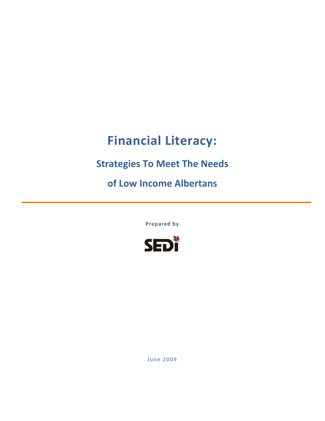# **Financial Literacy:**

## **Strategies To Meet The Needs**

**of Low Income Albertans**

**Prepared by**



June 2009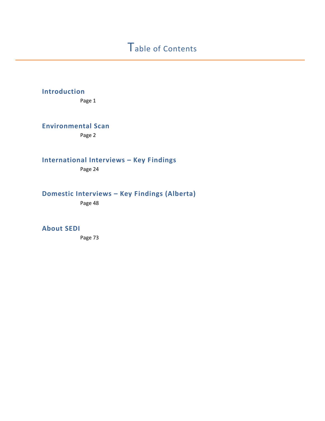## **Introduction**

Page 1

**Environmental Scan**

Page 2

**International Interviews – Key Findings**

Page 24

## **Domestic Interviews – Key Findings (Alberta)**

Page 48

### **About SEDI**

Page 73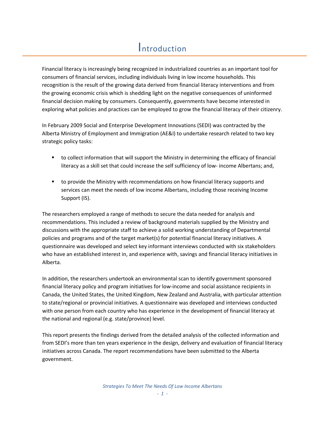## **Introduction**

Financial literacy is increasingly being recognized in industrialized countries as an important tool for consumers of financial services, including individuals living in low income households. This recognition is the result of the growing data derived from financial literacy interventions and from the growing economic crisis which is shedding light on the negative consequences of uninformed financial decision making by consumers. Consequently, governments have become interested in exploring what policies and practices can be employed to grow the financial literacy of their citizenry.

In February 2009 Social and Enterprise Development Innovations (SEDI) was contracted by the Alberta Ministry of Employment and Immigration (AE&I) to undertake research related to two key strategic policy tasks:

- to collect information that will support the Ministry in determining the efficacy of financial literacy as a skill set that could increase the self sufficiency of low‐ income Albertans; and,
- to provide the Ministry with recommendations on how financial literacy supports and services can meet the needs of low income Albertans, including those receiving Income Support (IS).

The researchers employed a range of methods to secure the data needed for analysis and recommendations. This included a review of background materials supplied by the Ministry and discussions with the appropriate staff to achieve a solid working understanding of Departmental policies and programs and of the target market(s) for potential financial literacy initiatives. A questionnaire was developed and select key informant interviews conducted with six stakeholders who have an established interest in, and experience with, savings and financial literacy initiatives in Alberta.

In addition, the researchers undertook an environmental scan to identify government sponsored financial literacy policy and program initiatives for low‐income and social assistance recipients in Canada, the United States, the United Kingdom, New Zealand and Australia, with particular attention to state/regional or provincial initiatives. A questionnaire was developed and interviews conducted with one person from each country who has experience in the development of financial literacy at the national and regional (e.g. state/province) level.

This report presents the findings derived from the detailed analysis of the collected information and from SEDI's more than ten years experience in the design, delivery and evaluation of financial literacy initiatives across Canada. The report recommendations have been submitted to the Alberta government.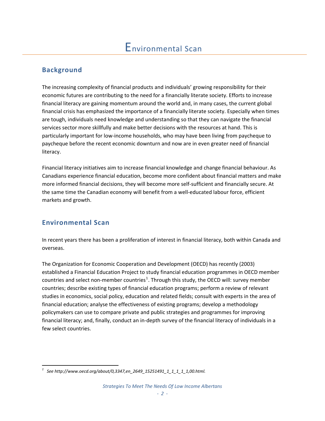## **Background**

The increasing complexity of financial products and individuals' growing responsibility for their economic futures are contributing to the need for a financially literate society. Efforts to increase financial literacy are gaining momentum around the world and, in many cases, the current global financial crisis has emphasized the importance of a financially literate society. Especially when times are tough, individuals need knowledge and understanding so that they can navigate the financial services sector more skillfully and make better decisions with the resources at hand. This is particularly important for low‐income households, who may have been living from paycheque to paycheque before the recent economic downturn and now are in even greater need of financial literacy.

Financial literacy initiatives aim to increase financial knowledge and change financial behaviour. As Canadians experience financial education, become more confident about financial matters and make more informed financial decisions, they will become more self‐sufficient and financially secure. At the same time the Canadian economy will benefit from a well-educated labour force, efficient markets and growth.

## **Environmental Scan**

In recent years there has been a proliferation of interest in financial literacy, both within Canada and overseas.

The Organization for Economic Cooperation and Development (OECD) has recently (2003) established a Financial Education Project to study financial education programmes in OECD member countries and select non-member countries<sup>[1](#page-3-0)</sup>. Through this study, the OECD will: survey member countries; describe existing types of financial education programs; perform a review of relevant studies in economics, social policy, education and related fields; consult with experts in the area of financial education; analyse the effectiveness of existing programs; develop a methodology policymakers can use to compare private and public strategies and programmes for improving financial literacy; and, finally, conduct an in‐depth survey of the financial literacy of individuals in a few select countries.

<span id="page-3-0"></span> *1 See [http://www.oecd.org/about/0,3347,en\\_2649\\_15251491\\_1\\_1\\_1\\_1\\_1,00.html](http://www.oecd.org/about/0,3347,en_2649_15251491_1_1_1_1_1,00.html).*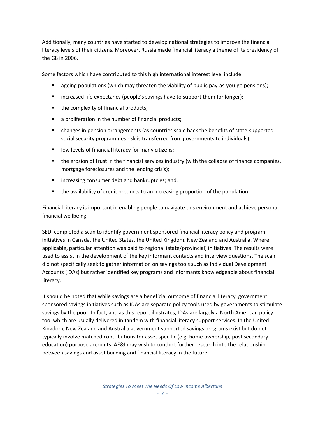Additionally, many countries have started to develop national strategies to improve the financial literacy levels of their citizens. Moreover, Russia made financial literacy a theme of its presidency of the G8 in 2006.

Some factors which have contributed to this high international interest level include:

- ageing populations (which may threaten the viability of public pay-as-you-go pensions);
- increased life expectancy (people's savings have to support them for longer);
- the complexity of financial products;
- a proliferation in the number of financial products;
- changes in pension arrangements (as countries scale back the benefits of state-supported social security programmes risk is transferred from governments to individuals);
- low levels of financial literacy for many citizens;
- the erosion of trust in the financial services industry (with the collapse of finance companies, mortgage foreclosures and the lending crisis);
- **EXEDER** increasing consumer debt and bankruptcies; and,
- the availability of credit products to an increasing proportion of the population.

Financial literacy is important in enabling people to navigate this environment and achieve personal financial wellbeing.

SEDI completed a scan to identify government sponsored financial literacy policy and program initiatives in Canada, the United States, the United Kingdom, New Zealand and Australia. Where applicable, particular attention was paid to regional (state/provincial) initiatives .The results were used to assist in the development of the key informant contacts and interview questions. The scan did not specifically seek to gather information on savings tools such as Individual Development Accounts (IDAs) but rather identified key programs and informants knowledgeable about financial literacy.

It should be noted that while savings are a beneficial outcome of financial literacy, government sponsored savings initiatives such as IDAs are separate policy tools used by governments to stimulate savings by the poor. In fact, and as this report illustrates, IDAs are largely a North American policy tool which are usually delivered in tandem with financial literacy support services. In the United Kingdom, New Zealand and Australia government supported savings programs exist but do not typically involve matched contributions for asset specific (e.g. home ownership, post secondary education) purpose accounts. AE&I may wish to conduct further research into the relationship between savings and asset building and financial literacy in the future.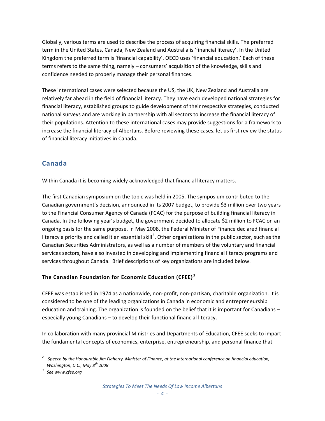Globally, various terms are used to describe the process of acquiring financial skills. The preferred term in the United States, Canada, New Zealand and Australia is 'financial literacy'. In the United Kingdom the preferred term is 'financial capability'. OECD uses 'financial education.' Each of these terms refers to the same thing, namely – consumers' acquisition of the knowledge, skills and confidence needed to properly manage their personal finances.

These international cases were selected because the US, the UK, New Zealand and Australia are relatively far ahead in the field of financial literacy. They have each developed national strategies for financial literacy, established groups to guide development of their respective strategies, conducted national surveys and are working in partnership with all sectors to increase the financial literacy of their populations. Attention to these international cases may provide suggestions for a framework to increase the financial literacy of Albertans. Before reviewing these cases, let us first review the status of financial literacy initiatives in Canada.

## **Canada**

Within Canada it is becoming widely acknowledged that financial literacy matters.

The first Canadian symposium on the topic was held in 2005. The symposium contributed to the Canadian government's decision, announced in its 2007 budget, to provide \$3 million over two years to the Financial Consumer Agency of Canada (FCAC) for the purpose of building financial literacy in Canada. In the following year's budget, the government decided to allocate \$2 million to FCAC on an ongoing basis for the same purpose. In May 2008, the Federal Minister of Finance declared financial literacy a priority and called it an essential skill<sup>[2](#page-5-0)</sup>. Other organizations in the public sector, such as the Canadian Securities Administrators, as well as a number of members of the voluntary and financial services sectors, have also invested in developing and implementing financial literacy programs and services throughout Canada. Brief descriptions of key organizations are included below.

#### **The Canadian Foundation for Economic Education (CFEE)** [3](#page-5-1)

CFEE was established in 1974 as a nationwide, non‐profit, non‐partisan, charitable organization. It is considered to be one of the leading organizations in Canada in economic and entrepreneurship education and training. The organization is founded on the belief that it is important for Canadians – especially young Canadians – to develop their functional financial literacy.

In collaboration with many provincial Ministries and Departments of Education, CFEE seeks to impart the fundamental concepts of economics, enterprise, entrepreneurship, and personal finance that

<span id="page-5-0"></span> *2* Speech by the Honourable Jim Flaherty, Minister of Finance, at the international conference on financial education, *Washington, D.C., May 8th 2008*

<span id="page-5-1"></span>*<sup>3</sup> See [www.cfee.org](http://www.cfee.org/)*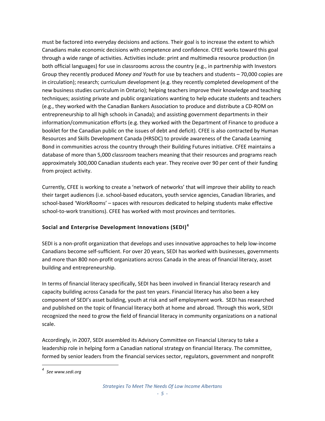must be factored into everyday decisions and actions. Their goal is to increase the extent to which Canadians make economic decisions with competence and confidence. CFEE works toward this goal through a wide range of activities. Activities include: print and multimedia resource production (in both official languages) for use in classrooms across the country (e.g., in partnership with Investors Group they recently produced *Money and Youth* for use by teachers and students – 70,000 copies are in circulation); research; curriculum development (e.g. they recently completed development of the new business studies curriculum in Ontario); helping teachers improve their knowledge and teaching techniques; assisting private and public organizations wanting to help educate students and teachers (e.g., they worked with the Canadian Bankers Association to produce and distribute a CD‐ROM on entrepreneurship to all high schools in Canada); and assisting government departments in their information/communication efforts (e.g. they worked with the Department of Finance to produce a booklet for the Canadian public on the issues of debt and deficit). CFEE is also contracted by Human Resources and Skills Development Canada (HRSDC) to provide awareness of the Canada Learning Bond in communities across the country through their Building Futures initiative. CFEE maintains a database of more than 5,000 classroom teachers meaning that their resources and programs reach approximately 300,000 Canadian students each year. They receive over 90 per cent of their funding from project activity.

Currently, CFEE is working to create a 'network of networks' that will improve their ability to reach their target audiences (i.e. school‐based educators, youth service agencies, Canadian libraries, and school‐based 'WorkRooms' – spaces with resources dedicated to helping students make effective school-to-work transitions). CFEE has worked with most provinces and territories.

#### **Social and Enterprise Development Innovations (SEDI)[4](#page-6-0)**

SEDI is a non‐profit organization that develops and uses innovative approaches to help low‐income Canadians become self‐sufficient. For over 20 years, SEDI has worked with businesses, governments and more than 800 non‐profit organizations across Canada in the areas of financial literacy, asset building and entrepreneurship.

In terms of financial literacy specifically, SEDI has been involved in financial literacy research and capacity building across Canada for the past ten years. Financial literacy has also been a key component of SEDI's asset building, youth at risk and self employment work. SEDI has researched and published on the topic of financial literacy both at home and abroad. Through this work, SEDI recognized the need to grow the field of financial literacy in community organizations on a national scale.

Accordingly, in 2007, SEDI assembled its Advisory Committee on Financial Literacy to take a leadership role in helping form a Canadian national strategy on financial literacy. The committee, formed by senior leaders from the financial services sector, regulators, government and nonprofit

<span id="page-6-0"></span>*<sup>4</sup> See www.sedi.org*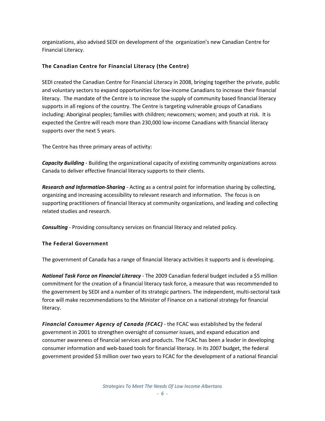organizations, also advised SEDI on development of the organization's new Canadian Centre for Financial Literacy.

#### **The Canadian Centre for Financial Literacy (the Centre)**

SEDI created the Canadian Centre for Financial Literacy in 2008, bringing together the private, public and voluntary sectors to expand opportunities for low-income Canadians to increase their financial literacy. The mandate of the Centre is to increase the supply of community based financial literacy supports in all regions of the country. The Centre is targeting vulnerable groups of Canadians including: Aboriginal peoples; families with children; newcomers; women; and youth at risk. It is expected the Centre will reach more than 230,000 low-income Canadians with financial literacy supports over the next 5 years.

The Centre has three primary areas of activity:

*Capacity Building* ‐ Building the organizational capacity of existing community organizations across Canada to deliver effective financial literacy supports to their clients.

*Research and Information‐Sharing* ‐ Acting as a central point for information sharing by collecting, organizing and increasing accessibility to relevant research and information. The focus is on supporting practitioners of financial literacy at community organizations, and leading and collecting related studies and research.

*Consulting* ‐ Providing consultancy services on financial literacy and related policy.

#### **The Federal Government**

The government of Canada has a range of financial literacy activities it supports and is developing.

*National Task Force on Financial Literacy* ‐ The 2009 Canadian federal budget included a \$5 million commitment for the creation of a financial literacy task force, a measure that was recommended to the government by SEDI and a number of its strategic partners. The independent, multi-sectoral task force will make recommendations to the Minister of Finance on a national strategy for financial literacy.

*Financial Consumer Agency of Canada (FCAC)* ‐ the FCAC was established by the federal government in 2001 to strengthen oversight of consumer issues, and expand education and consumer awareness of financial services and products. The FCAC has been a leader in developing consumer information and web‐based tools for financial literacy. In its 2007 budget, the federal government provided \$3 million over two years to FCAC for the development of a national financial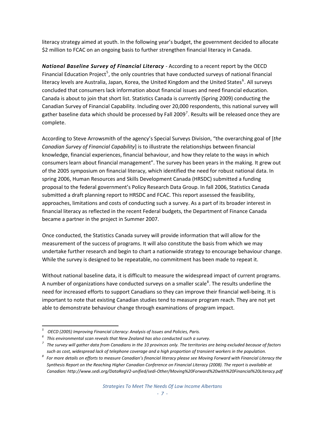literacy strategy aimed at youth. In the following year's budget, the government decided to allocate \$2 million to FCAC on an ongoing basis to further strengthen financial literacy in Canada.

*National Baseline Survey of Financial Literacy* ‐ According to a recent report by the OECD Financial Education Project<sup>[5](#page-8-0)</sup>, the only countries that have conducted surveys of national financial literacy levels are Australia, Japan, Korea, the United Kingdom and the United States<sup>[6](#page-8-1)</sup>. All surveys concluded that consumers lack information about financial issues and need financial education. Canada is about to join that short list. Statistics Canada is currently (Spring 2009) conducting the Canadian Survey of Financial Capability. Including over 20,000 respondents, this national survey will gather baseline data which should be processed by Fall 2009<sup>[7](#page-8-2)</sup>. Results will be released once they are complete.

According to Steve Arrowsmith of the agency's Special Surveys Division, "the overarching goal of [*the Canadian Survey of Financial Capability*] is to illustrate the relationships between financial knowledge, financial experiences, financial behaviour, and how they relate to the ways in which consumers learn about financial management". The survey has been years in the making. It grew out of the 2005 symposium on financial literacy, which identified the need for robust national data. In spring 2006, Human Resources and Skills Development Canada (HRSDC) submitted a funding proposal to the federal government's Policy Research Data Group. In fall 2006, Statistics Canada submitted a draft planning report to HRSDC and FCAC. This report assessed the feasibility, approaches, limitations and costs of conducting such a survey. As a part of its broader interest in financial literacy as reflected in the recent Federal budgets, the Department of Finance Canada became a partner in the project in Summer 2007.

Once conducted, the Statistics Canada survey will provide information that will allow for the measurement of the success of programs. It will also constitute the basis from which we may undertake further research and begin to chart a nationwide strategy to encourage behaviour change. While the survey is designed to be repeatable, no commitment has been made to repeat it.

Without national baseline data, it is difficult to measure the widespread impact of current programs. A number of organizations have conducted surveys on a smaller scale<sup>[8](#page-8-3)</sup>. The results underline the need for increased efforts to support Canadians so they can improve their financial well-being. It is important to note that existing Canadian studies tend to measure program reach. They are not yet able to demonstrate behaviour change through examinations of program impact.

<span id="page-8-0"></span> *5 OECD (2005) Improving Financial Literacy: Analysis of Issues and Policies, Paris.*

<span id="page-8-1"></span>*<sup>6</sup> This environmental scan reveals that New Zealand has also conducted such a survey.*

<span id="page-8-2"></span> $^\tau$  The survey will gather data from Canadians in the 10 provinces only. The territories are being excluded because of factors such as cost, widespread lack of telephone coverage and a high proportion of transient workers in the population.

<span id="page-8-3"></span> $^8\,$  For more details on efforts to measure Canadian's financial literacy please see Moving Forward with Financial Literacy the Synthesis Report on the Reaching Higher Canadian Conference on Financial Literacy (2008). The report is available at *Canadian: http://www.sedi.org/DataRegV2‐unified/sedi‐Other/Moving%20Forward%20with%20Financial%20Literacy.pdf*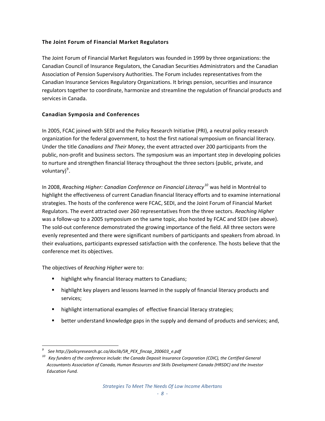#### **The Joint Forum of Financial Market Regulators**

The Joint Forum of Financial Market Regulators was founded in 1999 by three organizations: the Canadian Council of Insurance Regulators, the Canadian Securities Administrators and the Canadian Association of Pension Supervisory Authorities. The Forum includes representatives from the Canadian Insurance Services Regulatory Organizations. It brings pension, securities and insurance regulators together to coordinate, harmonize and streamline the regulation of financial products and services in Canada.

#### **Canadian Symposia and Conferences**

In 2005, FCAC joined with SEDI and the Policy Research Initiative (PRI), a neutral policy research organization for the federal government, to host the first national symposium on financial literacy. Under the title *Canadians and Their Money*, the event attracted over 200 participants from the public, non‐profit and business sectors. The symposium was an important step in developing policies to nurture and strengthen financial literacy throughout the three sectors (public, private, and voluntary)<sup>[9](#page-9-0)</sup>.

In 2008, *Reaching Higher: Canadian Conference on Financial Literacy[10](#page-9-1)* was held in Montréal to highlight the effectiveness of current Canadian financial literacy efforts and to examine international strategies. The hosts of the conference were FCAC, SEDI, and the Joint Forum of Financial Market Regulators. The event attracted over 260 representatives from the three sectors. *Reaching Higher* was a follow-up to a 2005 symposium on the same topic, also hosted by FCAC and SEDI (see above). The sold‐out conference demonstrated the growing importance of the field. All three sectors were evenly represented and there were significant numbers of participants and speakers from abroad. In their evaluations, participants expressed satisfaction with the conference. The hosts believe that the conference met its objectives.

The objectives of *Reaching Higher* were to:

- highlight why financial literacy matters to Canadians;
- highlight key players and lessons learned in the supply of financial literacy products and services;
- highlight international examples of effective financial literacy strategies;
- **EXECT** better understand knowledge gaps in the supply and demand of products and services; and,

*<sup>9</sup> See [http://policyresearch.gc.ca/doclib/SR\\_PEX\\_fincap\\_200603\\_e.pdf](http://policyresearch.gc.ca/doclib/SR_PEX_fincap_200603_e.pdf)*

<span id="page-9-1"></span><span id="page-9-0"></span><sup>&</sup>lt;sup>10</sup> Key funders of the conference include: the Canada Deposit Insurance Corporation (CDIC), the Certified General *Accountants Association of Canada, Human Resources and Skills Development Canada (HRSDC) and the Investor Education Fund.*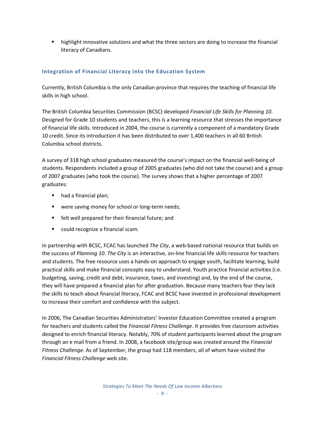**EXECT** highlight innovative solutions and what the three sectors are doing to increase the financial literacy of Canadians.

#### **Integration of Financial Literacy into the Education System**

Currently, British Columbia is the only Canadian province that requires the teaching of financial life skills in high school.

The British Columbia Securities Commission (BCSC) developed *Financial Life Skills for Planning 10*. Designed for Grade 10 students and teachers, this is a learning resource that stresses the importance of financial life skills. Introduced in 2004, the course is currently a component of a mandatory Grade 10 credit. Since its introduction it has been distributed to over 1,400 teachers in all 60 British Columbia school districts.

A survey of 318 high school graduates measured the course's impact on the financial well‐being of students. Respondents included a group of 2005 graduates (who did not take the course) and a group of 2007 graduates (who took the course). The survey shows that a higher percentage of 2007 graduates:

- had a financial plan;
- were saving money for school or long-term needs;
- felt well prepared for their financial future; and
- could recognize a financial scam.

In partnership with BCSC, FCAC has launched *The City*, a web-based national resource that builds on the success of *Planning 10*. *The City* is an interactive, on‐line financial life skills resource for teachers and students. The free resource uses a hands‐on approach to engage youth, facilitate learning, build practical skills and make financial concepts easy to understand. Youth practice financial activities (i.e. budgeting, saving, credit and debt, insurance, taxes, and investing) and, by the end of the course, they will have prepared a financial plan for after graduation. Because many teachers fear they lack the skills to teach about financial literacy, FCAC and BCSC have invested in professional development to increase their comfort and confidence with the subject.

In 2006, The Canadian Securities Administrators' Investor Education Committee created a program for teachers and students called the *Financial Fitness Challenge*. It provides free classroom activities designed to enrich financial literacy. Notably, 70% of student participants learned about the program through an e mail from a friend. In 2008, a facebook site/group was created around the *Financial Fitness Challenge*. As of September, the group had 118 members, all of whom have visited the *Financial Fitness Challenge* web site.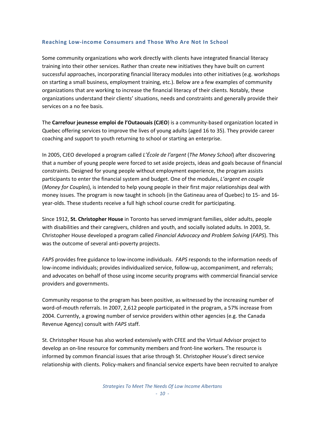#### **Reaching Low‐income Consumers and Those Who Are Not In School**

Some community organizations who work directly with clients have integrated financial literacy training into their other services. Rather than create new initiatives they have built on current successful approaches, incorporating financial literacy modules into other initiatives (e.g. workshops on starting a small business, employment training, etc.). Below are a few examples of community organizations that are working to increase the financial literacy of their clients. Notably, these organizations understand their clients' situations, needs and constraints and generally provide their services on a no fee basis.

The **Carrefour jeunesse emploi de l'Outaouais (CJEO**) is a community‐based organization located in Quebec offering services to improve the lives of young adults (aged 16 to 35). They provide career coaching and support to youth returning to school or starting an enterprise.

In 2005, CJEO developed a program called *L'École de l'argent* (*The Money School*) after discovering that a number of young people were forced to set aside projects, ideas and goals because of financial constraints. Designed for young people without employment experience, the program assists participants to enter the financial system and budget. One of the modules, *L'argent en couple* (*Money for Couples*), is intended to help young people in their first major relationships deal with money issues. The program is now taught in schools (in the Gatineau area of Quebec) to 15‐ and 16‐ year‐olds. These students receive a full high school course credit for participating.

Since 1912, **St. Christopher House** in Toronto has served immigrant families, older adults, people with disabilities and their caregivers, children and youth, and socially isolated adults. In 2003, St. Christopher House developed a program called *Financial Advocacy and Problem Solving* (*FAPS*). This was the outcome of several anti-poverty projects.

*FAPS* provides free guidance to low‐income individuals. *FAPS* responds to the information needs of low‐income individuals; provides individualized service, follow‐up, accompaniment, and referrals; and advocates on behalf of those using income security programs with commercial financial service providers and governments.

Community response to the program has been positive, as witnessed by the increasing number of word-of-mouth referrals. In 2007, 2,612 people participated in the program, a 57% increase from 2004. Currently, a growing number of service providers within other agencies (e.g. the Canada Revenue Agency) consult with *FAPS* staff.

St. Christopher House has also worked extensively with CFEE and the Virtual Advisor project to develop an on-line resource for community members and front-line workers. The resource is informed by common financial issues that arise through St. Christopher House's direct service relationship with clients. Policy‐makers and financial service experts have been recruited to analyze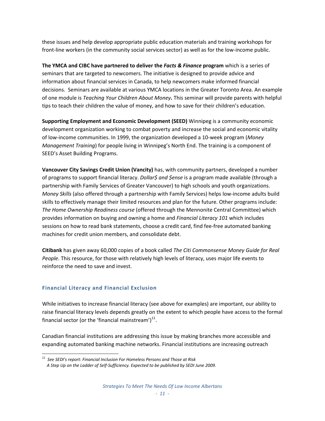these issues and help develop appropriate public education materials and training workshops for front-line workers (in the community social services sector) as well as for the low-income public.

**The YMCA and CIBC have partnered to deliver the** *Facts & Finance* **program** which is a series of seminars that are targeted to newcomers. The initiative is designed to provide advice and information about financial services in Canada, to help newcomers make informed financial decisions. Seminars are available at various YMCA locations in the Greater Toronto Area. An example of one module is *Teaching Your Children About Money***.** This seminar will provide parents with helpful tips to teach their children the value of money, and how to save for their children's education.

**Supporting Employment and Economic Development (SEED)** Winnipeg is a community economic development organization working to combat poverty and increase the social and economic vitality of low‐income communities. In 1999, the organization developed a 10‐week program (*Money Management Training*) for people living in Winnipeg's North End. The training is a component of SEED's Asset Building Programs.

**Vancouver City Savings Credit Union (Vancity)** has, with community partners, developed a number of programs to support financial literacy. *Dollar\$ and \$ense* is a program made available (through a partnership with Family Services of Greater Vancouver) to high schools and youth organizations. *Money Skills* (also offered through a partnership with Family Services) helps low‐income adults build skills to effectively manage their limited resources and plan for the future. Other programs include: *The Home Ownership Readiness course* (offered through the Mennonite Central Committee) which provides information on buying and owning a home and *Financial Literacy 101* which includes sessions on how to read bank statements, choose a credit card, find fee-free automated banking machines for credit union members, and consolidate debt.

**Citibank** has given away 60,000 copies of a book called *The Citi Commonsense Money Guide for Real People*. This resource, for those with relatively high levels of literacy, uses major life events to reinforce the need to save and invest.

#### **Financial Literacy and Financial Exclusion**

While initiatives to increase financial literacy (see above for examples) are important, our ability to raise financial literacy levels depends greatly on the extent to which people have access to the formal financial sector (or the 'financial mainstream') $^{11}$  $^{11}$  $^{11}$ .

Canadian financial institutions are addressing this issue by making branches more accessible and expanding automated banking machine networks. Financial institutions are increasing outreach

<span id="page-12-0"></span> *<sup>11</sup> See SEDI's report: Financial Inclusion For Homeless Persons and Those at Risk A Step Up on the Ladder of Self‐Sufficiency. Expected to be published by SEDI June 2009.*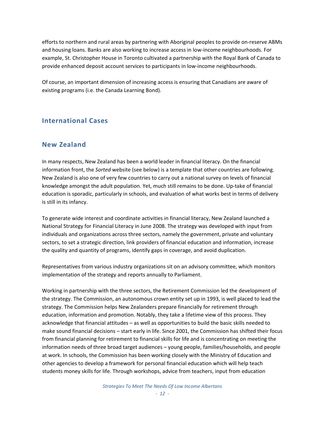efforts to northern and rural areas by partnering with Aboriginal peoples to provide on‐reserve ABMs and housing loans. Banks are also working to increase access in low-income neighbourhoods. For example, St. Christopher House in Toronto cultivated a partnership with the Royal Bank of Canada to provide enhanced deposit account services to participants in low‐income neighbourhoods.

Of course, an important dimension of increasing access is ensuring that Canadians are aware of existing programs (i.e. the Canada Learning Bond).

### **International Cases**

#### **New Zealand**

In many respects, New Zealand has been a world leader in financial literacy. On the financial information front, the *Sorted* website (see below) is a template that other countries are following. New Zealand is also one of very few countries to carry out a national survey on levels of financial knowledge amongst the adult population. Yet, much still remains to be done. Up‐take of financial education is sporadic, particularly in schools, and evaluation of what works best in terms of delivery is still in its infancy.

To generate wide interest and coordinate activities in financial literacy, New Zealand launched a National Strategy for Financial Literacy in June 2008. The strategy was developed with input from individuals and organizations across three sectors, namely the government, private and voluntary sectors, to set a strategic direction, link providers of financial education and information, increase the quality and quantity of programs, identify gaps in coverage, and avoid duplication.

Representatives from various industry organizations sit on an advisory committee, which monitors implementation of the strategy and reports annually to Parliament.

Working in partnership with the three sectors, the Retirement Commission led the development of the strategy. The Commission, an autonomous crown entity set up in 1993, is well placed to lead the strategy. The Commission helps New Zealanders prepare financially for retirement through education, information and promotion. Notably, they take a lifetime view of this process. They acknowledge that financial attitudes – as well as opportunities to build the basic skills needed to make sound financial decisions – start early in life. Since 2001, the Commission has shifted their focus from financial planning for retirement to financial skills for life and is concentrating on meeting the information needs of three broad target audiences – young people, families/households, and people at work. In schools, the Commission has been working closely with the Ministry of Education and other agencies to develop a framework for personal financial education which will help teach students money skills for life. Through workshops, advice from teachers, input from education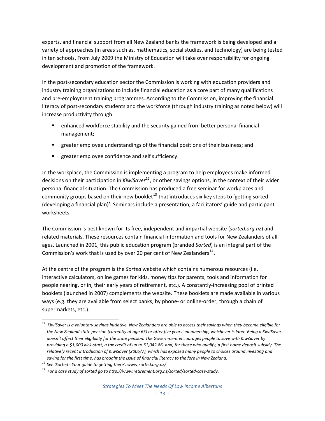experts, and financial support from all New Zealand banks the framework is being developed and a variety of approaches (in areas such as. mathematics, social studies, and technology) are being tested in ten schools. From July 2009 the Ministry of Education will take over responsibility for ongoing development and promotion of the framework.

In the post‐secondary education sector the Commission is working with education providers and industry training organizations to include financial education as a core part of many qualifications and pre‐employment training programmes. According to the Commission, improving the financial literacy of post‐secondary students and the workforce (through industry training as noted below) will increase productivity through:

- enhanced workforce stability and the security gained from better personal financial management;
- **EX II** greater employee understandings of the financial positions of their business; and
- **E** greater employee confidence and self sufficiency.

In the workplace, the Commission is implementing a program to help employees make informed decisions on their participation in *KiwiSaver*[12](#page-14-0), or other savings options, in the context of their wider personal financial situation. The Commission has produced a free seminar for workplaces and community groups based on their new booklet<sup>[13](#page-14-1)</sup> that introduces six key steps to 'getting sorted (developing a financial plan)'. Seminars include a presentation, a facilitators' guide and participant worksheets.

The Commission is best known for its free, independent and impartial website (*sorted.org.nz*) and related materials. These resources contain financial information and tools for New Zealanders of all ages. Launched in 2001, this public education program (branded *Sorted*) is an integral part of the Commission's work that is used by over 20 per cent of New Zealanders $^{14}$  $^{14}$  $^{14}$ .

At the centre of the program is the *Sorted* website which contains numerous resources (i.e. interactive calculators, online games for kids, money tips for parents, tools and information for people nearing, or in, their early years of retirement, etc.). A constantly‐increasing pool of printed booklets (launched in 2007) complements the website. These booklets are made available in various ways (e.g. they are available from select banks, by phone- or online-order, through a chain of supermarkets, etc.).

<span id="page-14-0"></span>  $^{\rm 12}$  KiwiSaver is a voluntary savings initiative. New Zealanders are able to access their savings when they become eligible for the New Zealand state pension (currently at age 65) or after five years' membership, whichever is later. Being a KiwiSaver doesn't affect their eligibility for the state pension. The Government encourages people to save with KiwiSaver by providing a \$1,000 kick-start, a tax credit of up to \$1,042.86, and, for those who qualify, a first home deposit subsidy. The relatively recent introduction of KiwiSaver (2006/7), which has exposed many people to choices around investing and saving for the first time, has brought the issue of financial literacy to the fore in New Zealand.

<span id="page-14-1"></span>*<sup>13</sup> See 'Sorted ‐ Your guide to [getting](http://www.sorted.org.nz/ordering) there', www.sorted.org.nz/*

<span id="page-14-2"></span>*<sup>14</sup> For a case study of sorted go to http://www.retirement.org.nz/sorted/sorted‐case‐study.*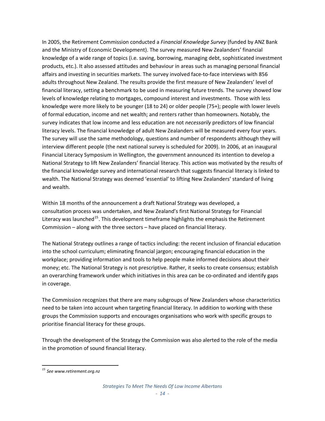In 2005, the Retirement Commission conducted a *Financial Knowledge Survey* (funded by ANZ Bank and the Ministry of Economic Development). The survey measured New Zealanders' financial knowledge of a wide range of topics (i.e. saving, borrowing, managing debt, sophisticated investment products, etc.). It also assessed attitudes and behaviour in areas such as managing personal financial affairs and investing in securities markets. The survey involved face-to-face interviews with 856 adults throughout New Zealand. The results provide the first measure of New Zealanders' level of financial literacy, setting a benchmark to be used in measuring future trends. The survey showed low levels of knowledge relating to mortgages, compound interest and investments. Those with less knowledge were more likely to be younger (18 to 24) or older people (75+); people with lower levels of formal education, income and net wealth; and renters rather than homeowners. Notably, the survey indicates that low income and less education are not *necessarily* predictors of low financial literacy levels. The financial knowledge of adult New Zealanders will be measured every four years. The survey will use the same methodology, questions and number of respondents although they will interview different people (the next national survey is scheduled for 2009). In 2006, at an inaugural Financial Literacy Symposium in Wellington, the government announced its intention to develop a National Strategy to lift New Zealanders' financial literacy. This action was motivated by the results of the financial knowledge survey and international research that suggests financial literacy is linked to wealth. The National Strategy was deemed 'essential' to lifting New Zealanders' standard of living and wealth.

Within 18 months of the announcement a draft National Strategy was developed, a consultation process was undertaken, and New Zealand's first National Strategy for Financial Literacy was launched<sup>[15](#page-15-0)</sup>. This development timeframe highlights the emphasis the Retirement Commission – along with the three sectors – have placed on financial literacy.

The National Strategy outlines a range of tactics including: the recent inclusion of financial education into the school curriculum; eliminating financial jargon; encouraging financial education in the workplace; providing information and tools to help people make informed decisions about their money; etc. The National Strategy is not prescriptive. Rather, it seeks to create consensus; establish an overarching framework under which initiatives in this area can be co-ordinated and identify gaps in coverage.

The Commission recognizes that there are many subgroups of New Zealanders whose characteristics need to be taken into account when targeting financial literacy. In addition to working with these groups the Commission supports and encourages organisations who work with specific groups to prioritise financial literacy for these groups.

Through the development of the Strategy the Commission was also alerted to the role of the media in the promotion of sound financial literacy.

<span id="page-15-0"></span> *<sup>15</sup> See www.retirement.org.nz*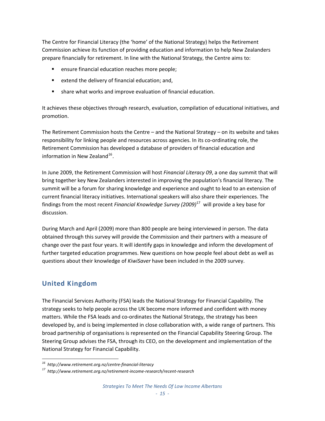The Centre for Financial Literacy (the 'home' of the National Strategy) helps the Retirement Commission achieve its function of providing education and information to help New Zealanders prepare financially for retirement. In line with the National Strategy, the Centre aims to:

- ensure financial education reaches more people;
- extend the delivery of financial education; and,
- share what works and improve evaluation of financial education.

It achieves these objectives through research, evaluation, compilation of educational initiatives, and promotion.

The Retirement Commission hosts the Centre – and the National Strategy – on its website and takes responsibility for linking people and resources across agencies. In its co-ordinating role, the Retirement Commission has developed a database of providers of financial education and information in New Zealand $^{16}$  $^{16}$  $^{16}$ .

In June 2009, the Retirement Commission will host *Financial Literacy 09*, a one day summit that will bring together key New Zealanders interested in improving the population's financial literacy. The summit will be a forum for sharing knowledge and experience and ought to lead to an extension of current financial literacy initiatives. International speakers will also share their experiences. The findings from the most recent *Financial Knowledge Survey (2009)*[17](#page-16-1) will provide a key base for discussion.

During March and April (2009) more than 800 people are being interviewed in person. The data obtained through this survey will provide the Commission and their partners with a measure of change over the past four years. It will identify gaps in knowledge and inform the development of further targeted education programmes. New questions on how people feel about debt as well as questions about their knowledge of *KiwiSaver* have been included in the 2009 survey.

## **United Kingdom**

The Financial Services Authority (FSA) leads the National Strategy for Financial Capability. The strategy seeks to help people across the UK become more informed and confident with money matters. While the FSA leads and co-ordinates the National Strategy, the strategy has been developed by, and is being implemented in close collaboration with, a wide range of partners. This broad partnership of organisations is represented on the Financial Capability Steering Group. The Steering Group advises the FSA, through its CEO, on the development and implementation of the National Strategy for Financial Capability.

<span id="page-16-0"></span>*<sup>16</sup> http://www.retirement.org.nz/centre‐financial‐literacy*

<span id="page-16-1"></span>*<sup>17</sup> http://www.retirement.org.nz/retirement‐income‐research/recent‐research*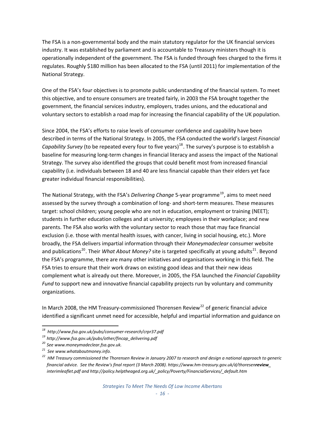The FSA is a non-governmental body and the main statutory regulator for the UK financial services industry. It was established by parliament and is accountable to Treasury ministers though it is operationally independent of the government. The FSA is funded through fees charged to the firms it regulates. Roughly \$180 million has been allocated to the FSA (until 2011) for implementation of the National Strategy.

One of the FSA's four objectives is to promote public understanding of the financial system. To meet this objective, and to ensure consumers are treated fairly, in 2003 the FSA brought together the government, the financial services industry, employers, trades unions, and the educational and voluntary sectors to establish a road map for increasing the financial capability of the UK population.

Since 2004, the FSA's efforts to raise levels of consumer confidence and capability have been described in terms of the National Strategy. In 2005, the FSA conducted the world's largest *Financial Capability Survey* (to be repeated every four to five years)<sup>[18](#page-17-0)</sup>. The survey's purpose is to establish a baseline for measuring long‐term changes in financial literacy and assess the impact of the National Strategy. The survey also identified the groups that could benefit most from increased financial capability (i.e. individuals between 18 and 40 are less financial capable than their elders yet face greater individual financial responsibilities).

The National Strategy, with the FSA's *Delivering Change* 5-year programme<sup>[19](#page-17-1)</sup>, aims to meet need assessed by the survey through a combination of long- and short-term measures. These measures target: school children; young people who are not in education, employment or training (NEET); students in further education colleges and at university; employees in their workplace; and new parents. The FSA also works with the voluntary sector to reach those that may face financial exclusion (i.e. those with mental health issues, with cancer, living in social housing, etc.). More broadly, the FSA delivers impartial information through their *Moneymadeclear* consumer website and publications<sup>[20](#page-17-2)</sup>. Their *What About Money?* site is targeted specifically at young adults<sup>[21](#page-17-3)</sup>. Beyond the FSA's programme, there are many other initiatives and organisations working in this field. The FSA tries to ensure that their work draws on existing good ideas and that their new ideas complement what is already out there. Moreover, in 2005, the FSA launched the *Financial Capability Fund* to support new and innovative financial capability projects run by voluntary and community organizations.

In March 2008, the HM Treasury-commissioned Thorensen Review<sup>[22](#page-17-4)</sup> of generic financial advice identified a significant unmet need for accessible, helpful and impartial information and guidance on

*<sup>18</sup> http://www.fsa.gov.uk/pubs/consumer‐research/crpr37.pdf*

<span id="page-17-1"></span><span id="page-17-0"></span>*<sup>19</sup> http://www.fsa.gov.uk/pubs/other/fincap\_delivering.pdf*

<span id="page-17-2"></span>*<sup>20</sup> See www.moneymadeclear.fsa.gov.uk.*

<span id="page-17-3"></span>*<sup>21</sup> See www.whataboutmoney.info.*

<span id="page-17-4"></span><sup>&</sup>lt;sup>22</sup> HM Treasury commissioned the Thorensen Review in January 2007 to research and design a national approach to generic financial advice. See the Review's final [report](http://www.hm-treasury.gov.uk./media/8/3/thoresenreview_final.pdf) (3 March 2008). https://www.hm-treasury.gov.uk/d/thoresenreview *interimleaflet.pdf and http://policy.helptheaged.org.uk/\_policy/Poverty/FinancialServices/\_default.htm*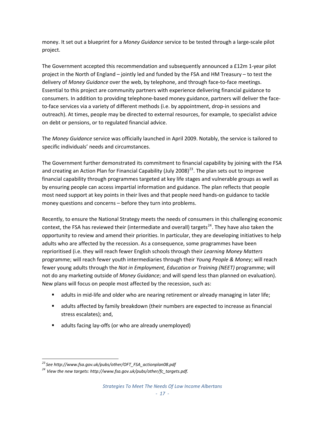money. It set out a blueprint for a *Money Guidance* service to be tested through a large‐scale pilot project.

The Government accepted this recommendation and subsequently announced a £12m 1‐year pilot project in the North of England – jointly led and funded by the FSA and HM Treasury – to test the delivery of *Money Guidance* over the web, by telephone, and through face‐to‐face meetings. Essential to this project are community partners with experience delivering financial guidance to consumers. In addition to providing telephone‐based money guidance, partners will deliver the face‐ to-face services via a variety of different methods (i.e. by appointment, drop-in sessions and outreach). At times, people may be directed to external resources, for example, to specialist advice on debt or pensions, or to regulated financial advice.

The *Money Guidance* service was officially launched in April 2009. Notably, the service is tailored to specific individuals' needs and circumstances.

The Government further demonstrated its commitment to financial capability by joining with the FSA and creating an Action Plan for Financial Capability (July 2008)<sup>[23](#page-18-0)</sup>. The plan sets out to improve financial capability through programmes targeted at key life stages and vulnerable groups as well as by ensuring people can access impartial information and guidance. The plan reflects that people most need support at key points in their lives and that people need hands‐on guidance to tackle money questions and concerns – before they turn into problems.

Recently, to ensure the National Strategy meets the needs of consumers in this challenging economic context, the FSA has reviewed their (intermediate and overall) targets<sup>[24](#page-18-1)</sup>. They have also taken the opportunity to review and amend their priorities. In particular, they are developing initiatives to help adults who are affected by the recession. As a consequence, some programmes have been reprioritised (i.e. they will reach fewer English schools through their *Learning Money Matters* programme; will reach fewer youth intermediaries through their *Young People & Money*; will reach fewer young adults through the *Not in Employment, Education or Training (NEET)* programme; will not do any marketing outside of *Money Guidance*; and will spend less than planned on evaluation). New plans will focus on people most affected by the recession, such as:

- adults in mid-life and older who are nearing retirement or already managing in later life;
- adults affected by family breakdown (their numbers are expected to increase as financial stress escalates); and,
- adults facing lay‐offs (or who are already unemployed)

<span id="page-18-0"></span>*<sup>23</sup> See http://www.fsa.gov.uk/pubs/other/OFT\_FSA\_actionplan08.pdf*

<span id="page-18-1"></span>*<sup>24</sup> View the new targets: http://www.fsa.gov.uk/pubs/other/fc\_targets.pdf.*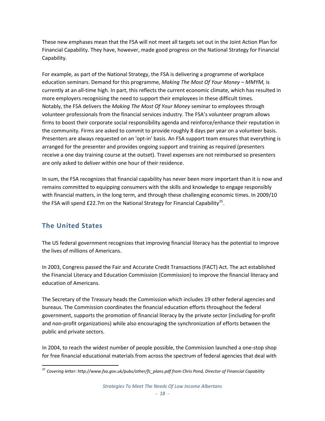These new emphases mean that the FSA will not meet all targets set out in the Joint Action Plan for Financial Capability. They have, however, made good progress on the National Strategy for Financial Capability.

For example, as part of the National Strategy, the FSA is delivering a programme of workplace education seminars. Demand for this programme, *Making The Most Of Your Money – MMYM,* is currently at an all‐time high. In part, this reflects the current economic climate, which has resulted in more employers recognising the need to support their employees in these difficult times. Notably, the FSA delivers the *Making The Most Of Your Money* seminar to employees through volunteer professionals from the financial services industry. The FSA's volunteer program allows firms to boost their corporate social responsibility agenda and reinforce/enhance their reputation in the community. Firms are asked to commit to provide roughly 8 days per year on a volunteer basis. Presenters are always requested on an 'opt-in' basis. An FSA support team ensures that everything is arranged for the presenter and provides ongoing support and training as required (presenters receive a one day training course at the outset). Travel expenses are not reimbursed so presenters are only asked to deliver within one hour of their residence.

In sum, the FSA recognizes that financial capability has never been more important than it is now and remains committed to equipping consumers with the skills and knowledge to engage responsibly with financial matters, in the long term, and through these challenging economic times. In 2009/10 the FSA will spend £22.7m on the National Strategy for Financial Capability<sup>[25](#page-19-0)</sup>.

## **The United States**

The US federal government recognizes that improving financial literacy has the potential to improve the lives of millions of Americans.

In 2003, Congress passed the Fair and Accurate Credit Transactions (FACT) Act. The act established the Financial Literacy and Education Commission (Commission) to improve the financial literacy and education of Americans.

The Secretary of the Treasury heads the Commission which includes 19 other federal agencies and bureaus. The Commission coordinates the financial education efforts throughout the federal government, supports the promotion of financial literacy by the private sector (including for‐profit and non‐profit organizations) while also encouraging the synchronization of efforts between the public and private sectors.

In 2004, to reach the widest number of people possible, the Commission launched a one‐stop shop for free financial educational materials from across the spectrum of federal agencies that deal with

*Strategies To Meet The Needs Of Low Income Albertans*

<span id="page-19-0"></span> *<sup>25</sup> Covering letter: http://www.fsa.gov.uk/pubs/other/fc\_plans.pdf from Chris Pond, Director of Financial Capability*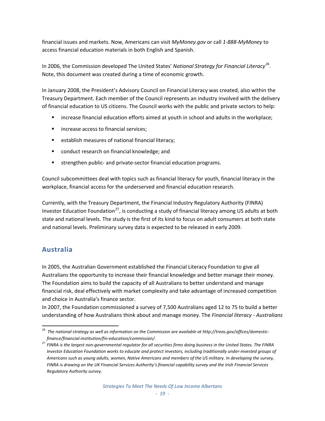financial issues and markets. Now, Americans can visit *MyMoney.gov* or call *1‐888‐MyMoney* to access financial education materials in both English and Spanish.

In 2006, the Commission developed The United States' *National Strategy for Financial Literacy[26](#page-20-0).* Note, this document was created during a time of economic growth.

In January 2008, the President's Advisory Council on Financial Literacy was created, also within the Treasury Department. Each member of the Council represents an industry involved with the delivery of financial education to US citizens. The Council works with the public and private sectors to help:

- increase financial education efforts aimed at youth in school and adults in the workplace;
- **netary** increase access to financial services;
- **EXECTED EXECTED EXECTED** establish measures of national financial literacy;
- conduct research on financial knowledge; and
- strengthen public- and private-sector financial education programs.

Council subcommittees deal with topics such as financial literacy for youth, financial literacy in the workplace, financial access for the underserved and financial education research.

Currently, with the Treasury Department, the Financial Industry Regulatory Authority (FINRA) Investor Education Foundation<sup>[27](#page-20-1)</sup>, is conducting a study of financial literacy among US adults at both state and national levels. The study is the first of its kind to focus on adult consumers at both state and national levels. Preliminary survey data is expected to be released in early 2009.

## **Australia**

In 2005, the Australian Government established the Financial Literacy Foundation to give all Australians the opportunity to increase their financial knowledge and better manage their money. The Foundation aims to build the capacity of all Australians to better understand and manage financial risk, deal effectively with market complexity and take advantage of increased competition and choice in Australia's finance sector.

In 2007, the Foundation commissioned a survey of 7,500 Australians aged 12 to 75 to build a better understanding of how Australians think about and manage money. The *Financial literacy ‐ Australians*

<span id="page-20-0"></span>  $^{26}$  The national strategy as well as information on the Commission are available at http://treas.gov/offices/domestic*finance/financial‐institution/fin‐education/commission/.*

<span id="page-20-1"></span><sup>27</sup> FINRA is the largest non-governmental regulator for all securities firms doing business in the United States. The FINRA Investor Education Foundation works to educate and protect investors, including traditionally under-invested groups of Americans such as young adults, women, Native Americans and members of the US military. In developing the survey, FINRA is drawing on the UK Financial Services Authority's financial capability survey and the Irish Financial Services *Regulatory Authority survey.*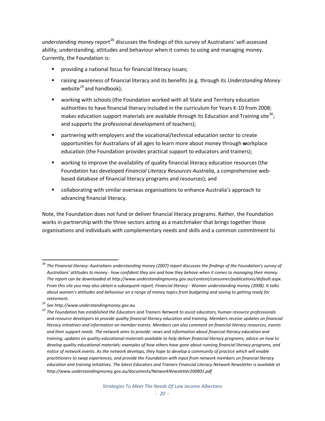*understanding money* report<sup>[28](#page-21-0)</sup> discusses the findings of this survey of Australians' self-assessed ability, understanding, attitudes and behaviour when it comes to using and managing money. Currently, the Foundation is:

- providing a national focus for financial literacy issues;
- raising awareness of financial literacy and its benefits (e.g. through its *Understanding Money* website $^{29}$  $^{29}$  $^{29}$  and handbook):
- working with schools (the Foundation worked with all State and Territory education authorities to have financial literacy included in the curriculum for Years K-10 from 2008; makes education support materials are available through its Education and Training site<sup>[30](#page-21-2)</sup>; and supports the professional development of teachers);
- partnering with employers and the vocational/technical education sector to create opportunities for Australians of all ages to learn more about money through **w**orkplace education (the Foundation provides practical support to educators and trainers);
- working to improve the availability of quality financial literacy education resources (the Foundation has developed *Financial Literacy Resources Australia*, a comprehensive web‐ based database of financial literacy programs and resources); and
- collaborating with similar overseas organisations to enhance Australia's approach to advancing financial literacy.

Note, the Foundation does not fund or deliver financial literacy programs. Rather, the Foundation works in partnership with the three sectors acting as a matchmaker that brings together those organisations and individuals with complementary needs and skills and a common commitment to

<span id="page-21-0"></span><sup>&</sup>lt;sup>28</sup> The Financial literacy: Australians understanding money (2007) report discusses the findings of the Foundation's survey of Australians' attitudes to money - how confident they are and how they behave when it comes to managing their money. *The report can be downloaded at [http://www.understandingmoney.gov.au/content/consumer/publications/default.aspx.](http://www.understandingmoney.gov.au/content/consumer/publications/default.aspx)*  From this site you may also obtain a subsequent report, Financial literacy - Women understanding money (2008). It talks about women's attitudes and behaviour on a range of money topics from budgeting and saving to getting ready for *retirement.* 

<span id="page-21-1"></span>*<sup>29</sup> See http://www.understandingmoney.gov.au.*

<span id="page-21-2"></span> $30$  The Foundation has established the Educators and Trainers Network to assist educators, human resource professionals and resource developers to provide quality financial literacy education and training. Members receive updates on financial literacy initiatives and information on member events. Members can also comment on financial literacy resources, events and their support needs. The network aims to provide: news and information about financial literacy education and training; updates on quality educational materials available to help deliver financial literacy programs; advice on how to develop quality educational materials; examples of how others have gone about running financial literacy programs, and notice of network events. As the network develops, they hope to develop a community of practice which will enable practitioners to swap experiences, and provide the Foundation with input from network members on financial literacy education and training initiatives. The latest Educators and Trainers Financial Literacy Network Newsletter is available at *http://www.understandingmoney.gov.au/documents/NetworkNewsletter200801.pdf*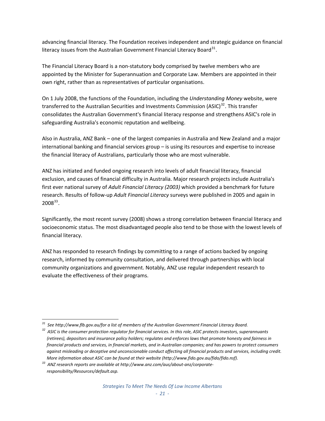advancing financial literacy. The Foundation receives independent and strategic guidance on financial literacy issues from the Australian Government Financial Literacy Board<sup>[31](#page-22-0)</sup>.

The Financial Literacy Board is a non‐statutory body comprised by twelve members who are appointed by the Minister for Superannuation and Corporate Law. Members are appointed in their own right, rather than as representatives of particular organisations.

On 1 July 2008, the functions of the Foundation, including the *Understanding Money* website, were transferred to the Australian Securities and Investments Commission (ASIC)<sup>[32](#page-22-1)</sup>. This transfer consolidates the Australian Government's financial literacy response and strengthens ASIC's role in safeguarding Australia's economic reputation and wellbeing.

Also in Australia, ANZ Bank – one of the largest companies in Australia and New Zealand and a major international banking and financial services group – is using its resources and expertise to increase the financial literacy of Australians, particularly those who are most vulnerable.

ANZ has initiated and funded ongoing research into levels of adult financial literacy, financial exclusion, and causes of financial difficulty in Australia. Major research projects include Australia's first ever national survey of *Adult Financial Literacy (2003)* which provided a benchmark for future research. Results of follow‐up *Adult Financial Literacy* surveys were published in 2005 and again in  $2008^{33}$  $2008^{33}$  $2008^{33}$ .

Significantly, the most recent survey (2008) shows a strong correlation between financial literacy and socioeconomic status. The most disadvantaged people also tend to be those with the lowest levels of financial literacy.

ANZ has responded to research findings by committing to a range of actions backed by ongoing research, informed by community consultation, and delivered through partnerships with local community organizations and government. Notably, ANZ use regular independent research to evaluate the effectiveness of their programs.

 *<sup>31</sup> See http://www.flb.gov.au/for a list of members of the Australian Government Financial Literacy Board.*

<span id="page-22-1"></span><span id="page-22-0"></span><sup>&</sup>lt;sup>32</sup> ASIC is the consumer protection regulator for financial services. In this role, ASIC protects investors, superannuants (retirees), depositors and insurance policy holders; regulates and enforces laws that promote honesty and fairness in financial products and services, in financial markets, and in Australian companies; and has powers to protect consumers against misleading or deceptive and unconscionable conduct affecting all financial products and services, including credit. *More information about ASIC can be found at their website (http://www.fido.gov.au/fido/fido.nsf).*

<span id="page-22-2"></span>*<sup>33</sup> ANZ research reports are available at http://www.anz.com/aus/about‐anz/corporate‐ responsibility/Resources/default.asp.*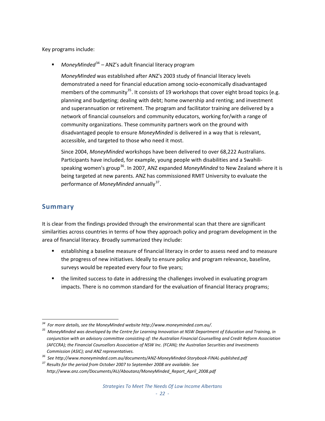Key programs include:

*MoneyMinded*[34](#page-23-0) – ANZ's adult financial literacy program

*MoneyMinded* was established after ANZ's 2003 study of financial literacy levels demonstrated a need for financial education among socio‐economically disadvantaged members of the community<sup>[35](#page-23-1)</sup>. It consists of 19 workshops that cover eight broad topics (e.g. planning and budgeting; dealing with debt; home ownership and renting; and investment and superannuation or retirement. The program and facilitator training are delivered by a network of financial counselors and community educators, working for/with a range of community organizations. These community partners work on the ground with disadvantaged people to ensure *MoneyMinded* is delivered in a way that is relevant, accessible, and targeted to those who need it most.

Since 2004, *MoneyMinded* workshops have been delivered to over 68,222 Australians. Participants have included, for example, young people with disabilities and a Swahili‐ speaking women's group[36](#page-23-2). In 2007, ANZ expanded *MoneyMinded* to New Zealand where it is being targeted at new parents. ANZ has commissioned RMIT University to evaluate the performance of *MoneyMinded* annually<sup>[37](#page-23-3)</sup>.

## **Summary**

It is clear from the findings provided through the environmental scan that there are significant similarities across countries in terms of how they approach policy and program development in the area of financial literacy. Broadly summarized they include:

- establishing a baseline measure of financial literacy in order to assess need and to measure the progress of new initiatives. Ideally to ensure policy and program relevance, baseline, surveys would be repeated every four to five years;
- the limited success to date in addressing the challenges involved in evaluating program impacts. There is no common standard for the evaluation of financial literacy programs;

 *<sup>34</sup> For more details, see the MoneyMinded website http://www.moneyminded.com.au/.*

<span id="page-23-1"></span><span id="page-23-0"></span> $35$  MoneyMinded was developed by the Centre for Learning Innovation at NSW Department of Education and Training, in conjunction with an advisory committee consisting of: the Australian Financial Counselling and Credit Reform Association *(AFCCRA); the Financial Counsellors Association of NSW Inc. (FCAN); the Australian Securities and Investments Commission (ASIC); and ANZ representatives.*

<span id="page-23-2"></span>*<sup>36</sup> See http://www.moneyminded.com.au/documents/ANZ‐MoneyMinded‐Storybook‐FINAL‐published.pdf*

<span id="page-23-3"></span>*<sup>37</sup> Results for the period from October 2007 to September 2008 are available. See http://www.anz.com/Documents/AU/Aboutanz/MoneyMinded\_Report\_April\_2008.pdf*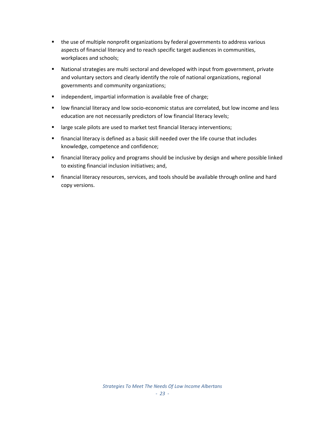- the use of multiple nonprofit organizations by federal governments to address various aspects of financial literacy and to reach specific target audiences in communities, workplaces and schools;
- National strategies are multi sectoral and developed with input from government, private and voluntary sectors and clearly identify the role of national organizations, regional governments and community organizations;
- **Independent, impartial information is available free of charge;**
- low financial literacy and low socio-economic status are correlated, but low income and less education are not necessarily predictors of low financial literacy levels;
- **EXTERGHTM** large scale pilots are used to market test financial literacy interventions;
- financial literacy is defined as a basic skill needed over the life course that includes knowledge, competence and confidence;
- **F** financial literacy policy and programs should be inclusive by design and where possible linked to existing financial inclusion initiatives; and,
- financial literacy resources, services, and tools should be available through online and hard copy versions.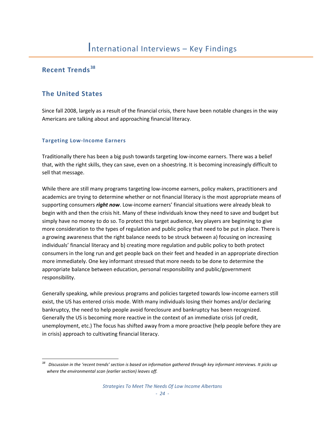## **Recent Trends [38](#page-25-0)**

## **The United States**

Since fall 2008, largely as a result of the financial crisis, there have been notable changes in the way Americans are talking about and approaching financial literacy.

#### **Targeting Low‐Income Earners**

Traditionally there has been a big push towards targeting low‐income earners. There was a belief that, with the right skills, they can save, even on a shoestring. It is becoming increasingly difficult to sell that message.

While there are still many programs targeting low-income earners, policy makers, practitioners and academics are trying to determine whether or not financial literacy is the most appropriate means of supporting consumers *right now*. Low‐income earners' financial situations were already bleak to begin with and then the crisis hit. Many of these individuals know they need to save and budget but simply have no money to do so. To protect this target audience, key players are beginning to give more consideration to the types of regulation and public policy that need to be put in place. There is a growing awareness that the right balance needs to be struck between a) focusing on increasing individuals' financial literacy and b) creating more regulation and public policy to both protect consumers in the long run and get people back on their feet and headed in an appropriate direction more immediately. One key informant stressed that more needs to be done to determine the appropriate balance between education, personal responsibility and public/government responsibility.

Generally speaking, while previous programs and policies targeted towards low‐income earners still exist, the US has entered crisis mode. With many individuals losing their homes and/or declaring bankruptcy, the need to help people avoid foreclosure and bankruptcy has been recognized. Generally the US is becoming more reactive in the context of an immediate crisis (of credit, unemployment, etc.) The focus has shifted away from a more proactive (help people before they are in crisis) approach to cultivating financial literacy.

<span id="page-25-0"></span> Discussion in the 'recent trends' section is based on information gathered through key informant interviews. It picks up *where the environmental scan (earlier section) leaves off.*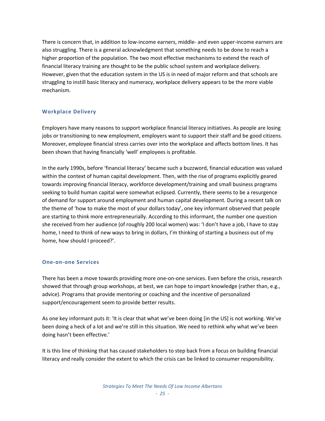There is concern that, in addition to low-income earners, middle- and even upper-income earners are also struggling. There is a general acknowledgment that something needs to be done to reach a higher proportion of the population. The two most effective mechanisms to extend the reach of financial literacy training are thought to be the public school system and workplace delivery. However, given that the education system in the US is in need of major reform and that schools are struggling to instill basic literacy and numeracy, workplace delivery appears to be the more viable mechanism.

#### **Workplace Delivery**

Employers have many reasons to support workplace financial literacy initiatives. As people are losing jobs or transitioning to new employment, employers want to support their staff and be good citizens. Moreover, employee financial stress carries over into the workplace and affects bottom lines. It has been shown that having financially 'well' employees is profitable.

In the early 1990s, before 'financial literacy' became such a buzzword, financial education was valued within the context of human capital development. Then, with the rise of programs explicitly geared towards improving financial literacy, workforce development/training and small business programs seeking to build human capital were somewhat eclipsed. Currently, there seems to be a resurgence of demand for support around employment and human capital development. During a recent talk on the theme of 'how to make the most of your dollars today', one key informant observed that people are starting to think more entrepreneurially. According to this informant, the number one question she received from her audience (of roughly 200 local women) was: 'I don't have a job, I have to stay home, I need to think of new ways to bring in dollars, I'm thinking of starting a business out of my home, how should I proceed?'.

#### **One‐on‐one Services**

There has been a move towards providing more one‐on‐one services. Even before the crisis, research showed that through group workshops, at best, we can hope to impart knowledge (rather than, e.g., advice). Programs that provide mentoring or coaching and the incentive of personalized support/encouragement seem to provide better results.

As one key informant puts it: 'It is clear that what we've been doing [in the US] is not working. We've been doing a heck of a lot and we're still in this situation. We need to rethink why what we've been doing hasn't been effective.'

It is this line of thinking that has caused stakeholders to step back from a focus on building financial literacy and really consider the extent to which the crisis can be linked to consumer responsibility.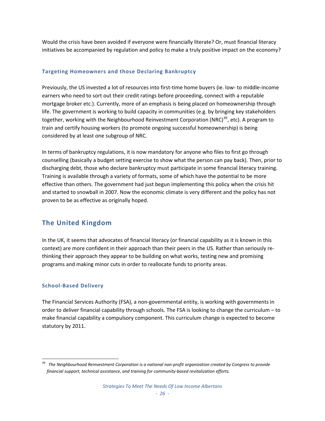Would the crisis have been avoided if everyone were financially literate? Or, must financial literacy initiatives be accompanied by regulation and policy to make a truly positive impact on the economy?

#### **Targeting Homeowners and those Declaring Bankruptcy**

Previously, the US invested a lot of resources into first-time home buyers (ie. low- to middle-income earners who need to sort out their credit ratings before proceeding, connect with a reputable mortgage broker etc.). Currently, more of an emphasis is being placed on homeownership through life. The government is working to build capacity in communities (e.g. by bringing key stakeholders together, working with the Neighbourhood Reinvestment Corporation (NRC)<sup>[39](#page-27-0)</sup>, etc). A program to train and certify housing workers (to promote ongoing successful homeownership) is being considered by at least one subgroup of NRC.

In terms of bankruptcy regulations, it is now mandatory for anyone who files to first go through counselling (basically a budget setting exercise to show what the person can pay back). Then, prior to discharging debt, those who declare bankruptcy must participate in some financial literacy training. Training is available through a variety of formats, some of which have the potential to be more effective than others. The government had just begun implementing this policy when the crisis hit and started to snowball in 2007. Now the economic climate is very different and the policy has not proven to be as effective as originally hoped.

## **The United Kingdom**

In the UK, it seems that advocates of financial literacy (or financial capability as it is known in this context) are more confident in their approach than their peers in the US. Rather than seriously rethinking their approach they appear to be building on what works, testing new and promising programs and making minor cuts in order to reallocate funds to priority areas.

#### **School‐Based Delivery**

The Financial Services Authority (FSA), a non‐governmental entity, is working with governments in order to deliver financial capability through schools. The FSA is looking to change the curriculum – to make financial capability a compulsory component. This curriculum change is expected to become statutory by 2011.

<span id="page-27-0"></span> The Neighbourhood Reinvestment Corporation is a national non-profit organization created by Congress to provide *financial support, technical assistance, and training for community‐based revitalization efforts.*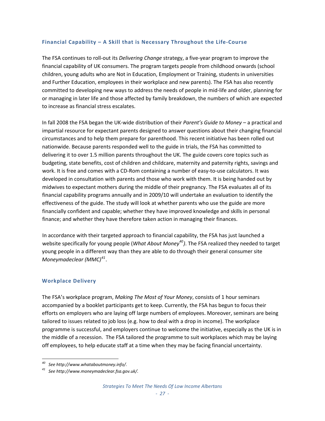#### **Financial Capability – A Skill that is Necessary Throughout the Life‐Course**

The FSA continues to roll‐out its *Delivering Change* strategy, a five‐year program to improve the financial capability of UK consumers. The program targets people from childhood onwards (school children, young adults who are Not in Education, Employment or Training, students in universities and Further Education, employees in their workplace and new parents). The FSA has also recently committed to developing new ways to address the needs of people in mid-life and older, planning for or managing in later life and those affected by family breakdown, the numbers of which are expected to increase as financial stress escalates.

In fall 2008 the FSA began the UK‐wide distribution of their *Parent's Guide to Money* – a practical and impartial resource for expectant parents designed to answer questions about their changing financial circumstances and to help them prepare for parenthood. This recent initiative has been rolled out nationwide. Because parents responded well to the guide in trials, the FSA has committed to delivering it to over 1.5 million parents throughout the UK. The guide covers core topics such as budgeting, state benefits, cost of children and childcare, maternity and paternity rights, savings and work. It is free and comes with a CD-Rom containing a number of easy-to-use calculators. It was developed in consultation with parents and those who work with them. It is being handed out by midwives to expectant mothers during the middle of their pregnancy. The FSA evaluates all of its financial capability programs annually and in 2009/10 will undertake an evaluation to identify the effectiveness of the guide. The study will look at whether parents who use the guide are more financially confident and capable; whether they have improved knowledge and skills in personal finance; and whether they have therefore taken action in managing their finances.

In accordance with their targeted approach to financial capability, the FSA has just launched a website specifically for young people (*What About Money[40](#page-28-0))*. The FSA realized they needed to target young people in a different way than they are able to do through their general consumer site *Moneymadeclear (MMC)[41](#page-28-1)*.

#### **Workplace Delivery**

The FSA's workplace program, *Making The Most of Your Money*, consists of 1 hour seminars accompanied by a booklet participants get to keep. Currently, the FSA has begun to focus their efforts on employers who are laying off large numbers of employees. Moreover, seminars are being tailored to issues related to job loss (e.g. how to deal with a drop in income). The workplace programme is successful, and employers continue to welcome the initiative, especially as the UK is in the middle of a recession. The FSA tailored the programme to suit workplaces which may be laying off employees, to help educate staff at a time when they may be facing financial uncertainty.

<span id="page-28-0"></span>*<sup>40</sup> See http://www.whataboutmoney.info/.*

<span id="page-28-1"></span>*<sup>41</sup> See http://www.moneymadeclear.fsa.gov.uk/.*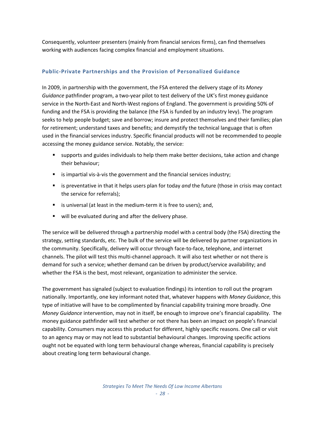Consequently, volunteer presenters (mainly from financial services firms), can find themselves working with audiences facing complex financial and employment situations.

#### **Public‐Private Partnerships and the Provision of Personalized Guidance**

In 2009, in partnership with the government, the FSA entered the delivery stage of its *Money Guidance* pathfinder program, a two‐year pilot to test delivery of the UK's first money guidance service in the North‐East and North‐West regions of England. The government is providing 50% of funding and the FSA is providing the balance (the FSA is funded by an industry levy). The program seeks to help people budget; save and borrow; insure and protect themselves and their families; plan for retirement; understand taxes and benefits; and demystify the technical language that is often used in the financial services industry. Specific financial products will not be recommended to people accessing the money guidance service. Notably, the service:

- supports and guides individuals to help them make better decisions, take action and change their behaviour;
- is impartial vis-à-vis the government and the financial services industry;
- **EXECT** is preventative in that it helps users plan for today *and* the future (those in crisis may contact the service for referrals);
- is universal (at least in the medium-term it is free to users); and,
- will be evaluated during and after the delivery phase.

The service will be delivered through a partnership model with a central body (the FSA) directing the strategy, setting standards, etc. The bulk of the service will be delivered by partner organizations in the community. Specifically, delivery will occur through face‐to‐face, telephone, and internet channels. The pilot will test this multi‐channel approach. It will also test whether or not there is demand for such a service; whether demand can be driven by product/service availability; and whether the FSA is the best, most relevant, organization to administer the service.

The government has signaled (subject to evaluation findings) its intention to roll out the program nationally. Importantly, one key informant noted that, whatever happens with *Money Guidance*, this type of initiative will have to be complimented by financial capability training more broadly. One *Money Guidance* intervention, may not in itself, be enough to improve one's financial capability. The money guidance pathfinder will test whether or not there has been an impact on people's financial capability. Consumers may access this product for different, highly specific reasons. One call or visit to an agency may or may not lead to substantial behavioural changes. Improving specific actions ought not be equated with long term behavioural change whereas, financial capability is precisely about creating long term behavioural change.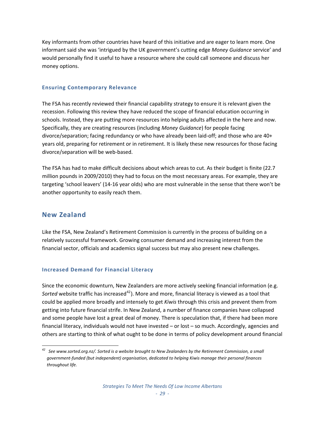Key informants from other countries have heard of this initiative and are eager to learn more. One informant said she was 'intrigued by the UK government's cutting edge *Money Guidance* service' and would personally find it useful to have a resource where she could call someone and discuss her money options.

#### **Ensuring Contemporary Relevance**

The FSA has recently reviewed their financial capability strategy to ensure it is relevant given the recession. Following this review they have reduced the scope of financial education occurring in schools. Instead, they are putting more resources into helping adults affected in the here and now. Specifically, they are creating resources (including *Money Guidance*) for people facing divorce/separation; facing redundancy or who have already been laid‐off; and those who are 40+ years old, preparing for retirement or in retirement. It is likely these new resources for those facing divorce/separation will be web‐based.

The FSA has had to make difficult decisions about which areas to cut. As their budget is finite (22.7 million pounds in 2009/2010) they had to focus on the most necessary areas. For example, they are targeting 'school leavers' (14‐16 year olds) who are most vulnerable in the sense that there won't be another opportunity to easily reach them.

#### **New Zealand**

Like the FSA, New Zealand's Retirement Commission is currently in the process of building on a relatively successful framework. Growing consumer demand and increasing interest from the financial sector, officials and academics signal success but may also present new challenges.

#### **Increased Demand for Financial Literacy**

Since the economic downturn, New Zealanders are more actively seeking financial information (e.g. Sorted website traffic has increased<sup>[42](#page-30-0)</sup>). More and more, financial literacy is viewed as a tool that could be applied more broadly and intensely to get *Kiwis* through this crisis and prevent them from getting into future financial strife. In New Zealand, a number of finance companies have collapsed and some people have lost a great deal of money. There is speculation that, if there had been more financial literacy, individuals would not have invested – or lost – so much. Accordingly, agencies and others are starting to think of what ought to be done in terms of policy development around financial

<span id="page-30-0"></span> $^{42}$  See [www.sorted.org.nz/](http://www.sorted.org.nz/). Sorted is a website brought to New Zealanders by the Retirement Commission, a small *government‐funded (but independent) organisation, dedicated to helping Kiwis manage their personal finances throughout life.*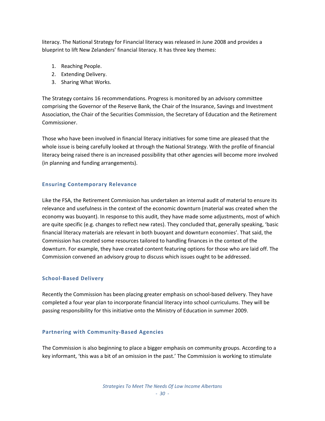literacy. The National Strategy for Financial literacy was released in June 2008 and provides a blueprint to lift New Zelanders' financial literacy. It has three key themes:

- 1. Reaching People.
- 2. Extending Delivery.
- 3. Sharing What Works.

The Strategy contains 16 recommendations. Progress is monitored by an advisory committee comprising the Governor of the Reserve Bank, the Chair of the Insurance, Savings and Investment Association, the Chair of the Securities Commission, the Secretary of Education and the Retirement Commissioner.

Those who have been involved in financial literacy initiatives for some time are pleased that the whole issue is being carefully looked at through the National Strategy. With the profile of financial literacy being raised there is an increased possibility that other agencies will become more involved (in planning and funding arrangements).

#### **Ensuring Contemporary Relevance**

Like the FSA, the Retirement Commission has undertaken an internal audit of material to ensure its relevance and usefulness in the context of the economic downturn (material was created when the economy was buoyant). In response to this audit, they have made some adjustments, most of which are quite specific (e.g. changes to reflect new rates). They concluded that, generally speaking, 'basic financial literacy materials are relevant in both buoyant and downturn economies'. That said, the Commission has created some resources tailored to handling finances in the context of the downturn. For example, they have created content featuring options for those who are laid off. The Commission convened an advisory group to discuss which issues ought to be addressed.

#### **School‐Based Delivery**

Recently the Commission has been placing greater emphasis on school‐based delivery. They have completed a four year plan to incorporate financial literacy into school curriculums. They will be passing responsibility for this initiative onto the Ministry of Education in summer 2009.

#### **Partnering with Community‐Based Agencies**

The Commission is also beginning to place a bigger emphasis on community groups. According to a key informant, 'this was a bit of an omission in the past.' The Commission is working to stimulate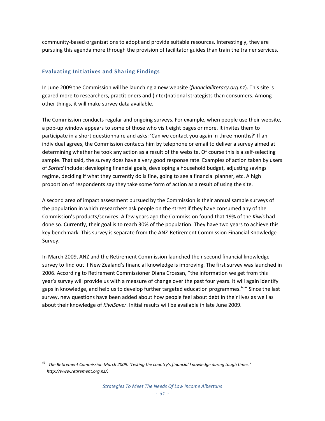community‐based organizations to adopt and provide suitable resources. Interestingly, they are pursuing this agenda more through the provision of facilitator guides than train the trainer services.

#### **Evaluating Initiatives and Sharing Findings**

In June 2009 the Commission will be launching a new website (*financialliteracy.org.nz*). This site is geared more to researchers, practitioners and (inter)national strategists than consumers. Among other things, it will make survey data available.

The Commission conducts regular and ongoing surveys. For example, when people use their website, a pop‐up window appears to some of those who visit eight pages or more. It invites them to participate in a short questionnaire and asks: 'Can we contact you again in three months?' If an individual agrees, the Commission contacts him by telephone or email to deliver a survey aimed at determining whether he took any action as a result of the website. Of course this is a self‐selecting sample. That said, the survey does have a very good response rate. Examples of action taken by users of *Sorted* include: developing financial goals, developing a household budget, adjusting savings regime, deciding if what they currently do is fine, going to see a financial planner, etc. A high proportion of respondents say they take some form of action as a result of using the site.

A second area of impact assessment pursued by the Commission is their annual sample surveys of the population in which researchers ask people on the street if they have consumed any of the Commission's products/services. A few years ago the Commission found that 19% of the *Kiwis* had done so. Currently, their goal is to reach 30% of the population. They have two years to achieve this key benchmark. This survey is separate from the ANZ‐Retirement Commission Financial Knowledge Survey.

In March 2009, ANZ and the Retirement Commission launched their second financial knowledge survey to find out if New Zealand's financial knowledge is improving. The first survey was launched in 2006. According to Retirement Commissioner Diana Crossan, "the information we get from this year's survey will provide us with a measure of change over the past four years. It will again identify gaps in knowledge, and help us to develop further targeted education programmes.<sup>[43](#page-32-0)</sup> Since the last survey, new questions have been added about how people feel about debt in their lives as well as about their knowledge of *KiwiSaver*. Initial results will be available in late June 2009.

<span id="page-32-0"></span> *<sup>43</sup> The Retirement Commission March 2009. 'Testing the country's financial knowledge during tough times.' http://www.retirement.org.nz/.*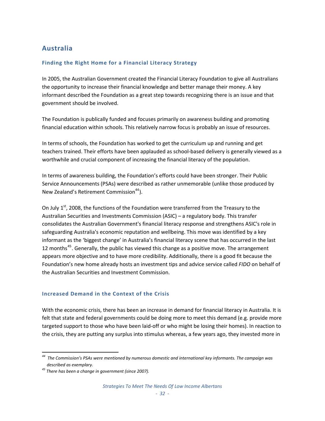## **Australia**

#### **Finding the Right Home for a Financial Literacy Strategy**

In 2005, the Australian Government created the Financial Literacy Foundation to give all Australians the opportunity to increase their financial knowledge and better manage their money. A key informant described the Foundation as a great step towards recognizing there is an issue and that government should be involved.

The Foundation is publically funded and focuses primarily on awareness building and promoting financial education within schools. This relatively narrow focus is probably an issue of resources.

In terms of schools, the Foundation has worked to get the curriculum up and running and get teachers trained. Their efforts have been applauded as school‐based delivery is generally viewed as a worthwhile and crucial component of increasing the financial literacy of the population.

In terms of awareness building, the Foundation's efforts could have been stronger. Their Public Service Announcements (PSAs) were described as rather unmemorable (unlike those produced by New Zealand's Retirement Commission<sup>[44](#page-33-0)</sup>).

On July  $1<sup>st</sup>$ , 2008, the functions of the Foundation were transferred from the Treasury to the Australian Securities and Investments Commission (ASIC) – a regulatory body. This transfer consolidates the Australian Government's financial literacy response and strengthens ASIC's role in safeguarding Australia's economic reputation and wellbeing. This move was identified by a key informant as the 'biggest change' in Australia's financial literacy scene that has occurred in the last 12 months<sup>[45](#page-33-1)</sup>. Generally, the public has viewed this change as a positive move. The arrangement appears more objective and to have more credibility. Additionally, there is a good fit because the Foundation's new home already hosts an investment tips and advice service called *FIDO* on behalf of the Australian Securities and Investment Commission.

#### **Increased Demand in the Context of the Crisis**

With the economic crisis, there has been an increase in demand for financial literacy in Australia. It is felt that state and federal governments could be doing more to meet this demand (e.g. provide more targeted support to those who have been laid-off or who might be losing their homes). In reaction to the crisis, they are putting any surplus into stimulus whereas, a few years ago, they invested more in

<span id="page-33-0"></span><sup>&</sup>lt;sup>44</sup> The Commission's PSAs were mentioned by numerous domestic and international key informants. The campaign was *described as exemplary.*

<span id="page-33-1"></span>*<sup>45</sup> There has been a change in government (since 2007).*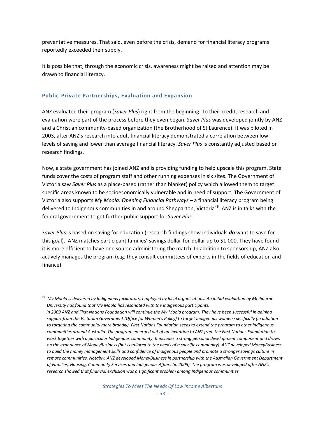preventative measures. That said, even before the crisis, demand for financial literacy programs reportedly exceeded their supply.

It is possible that, through the economic crisis, awareness might be raised and attention may be drawn to financial literacy.

#### **Public‐Private Partnerships, Evaluation and Expansion**

ANZ evaluated their program (*Saver Plus*) right from the beginning. To their credit, research and evaluation were part of the process before they even began. *Saver Plus* was developed jointly by ANZ and a Christian community‐based organization (the Brotherhood of St Laurence). It was piloted in 2003, after ANZ's research into adult financial literacy demonstrated a correlation between low levels of saving and lower than average financial literacy. *Saver Plus* is constantly adjusted based on research findings.

Now, a state government has joined ANZ and is providing funding to help upscale this program. State funds cover the costs of program staff and other running expenses in six sites. The Government of Victoria saw *Saver Plus* as a place‐based (rather than blanket) policy which allowed them to target specific areas known to be socioeconomically vulnerable and in need of support. The Government of Victoria also supports *My Moola: Opening Financial Pathways* – a financial literacy program being delivered to Indigenous communities in and around Shepparton, Victoria<sup>[46](#page-34-0)</sup>. ANZ is in talks with the federal government to get further public support for *Saver Plus.*

*Saver Plus* is based on saving for education (research findings show individuals *do* want to save for this goal). ANZ matches participant families' savings dollar‐for‐dollar up to \$1,000. They have found it is more efficient to have one source administering the match. In addition to sponsorship, ANZ also actively manages the program (e.g. they consult committees of experts in the fields of education and finance).

<span id="page-34-0"></span> $^{\rm 46}$  My Moola is delivered by Indigenous facilitators, employed by local organisations. An initial evaluation by Melbourne *University has found that My Moola has resonated with the Indigenous participants.*  In 2009 ANZ and First Nations Foundation will continue the My Moola program. They have been successful in gaining support from the Victorian Government (Office for Women's Policy) to target Indigenous women specifically (in addition to targeting the community more broadly). First Nations Foundation seeks to extend the program to other Indigenous communities around Australia. The program emerged out of an invitation to ANZ from the First Nations Foundation to work together with a particular Indigenous community. It includes a strong personal development component and draws on the experience of MoneyBusiness (but is tailored to the needs of a specific community). ANZ developed MoneyBusiness to build the money management skills and confidence of Indigenous people and promote a stronger savings culture in *remote communities. Notably, ANZ developed MoneyBusiness in partnership with the Australian Government Department of Families, Housing, Community Services and Indigenous Affairs (in 2005). The program was developed after ANZ's research showed that financial exclusion was a significant problem among Indigenous communities.*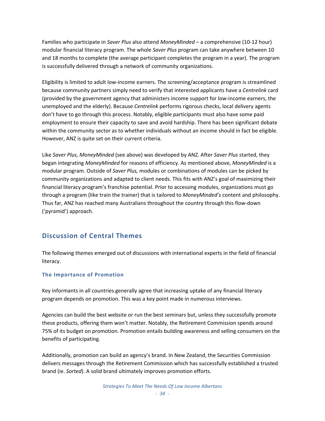Families who participate in *Saver Plus* also attend *MoneyMinded* – a comprehensive (10‐12 hour) modular financial literacy program. The whole *Saver Plus* program can take anywhere between 10 and 18 months to complete (the average participant completes the program in a year). The program is successfully delivered through a network of community organizations.

Eligibility is limited to adult low‐income earners. The screening/acceptance program is streamlined because community partners simply need to verify that interested applicants have a *Centrelink* card (provided by the government agency that administers income support for low‐income earners, the unemployed and the elderly). Because *Centrelink* performs rigorous checks, local delivery agents don't have to go through this process. Notably, eligible participants must also have some paid employment to ensure their capacity to save and avoid hardship. There has been significant debate within the community sector as to whether individuals without an income should in fact be eligible. However, ANZ is quite set on their current criteria.

Like *Saver Plus, MoneyMinded* (see above) was developed by ANZ. After *Saver Plus* started, they began integrating *MoneyMinded* for reasons of efficiency. As mentioned above, *MoneyMinded* is a modular program. Outside of *Saver Plus,* modules or combinations of modules can be picked by community organizations and adapted to client needs. This fits with ANZ's goal of maximizing their financial literacy program's franchise potential. Prior to accessing modules, organizations must go through a program (like train the trainer) that is tailored to *MoneyMinded's* content and philosophy. Thus far, ANZ has reached many Australians throughout the country through this flow‐down ('pyramid') approach.

## **Discussion of Central Themes**

The following themes emerged out of discussions with international experts in the field of financial literacy.

#### **The Importance of Promotion**

Key informants in all countries generally agree that increasing uptake of any financial literacy program depends on promotion. This was a key point made in numerous interviews.

Agencies can build the best website or run the best seminars but, unless they successfully promote these products, offering them won't matter. Notably, the Retirement Commission spends around 75% of its budget on promotion. Promotion entails building awareness and selling consumers on the benefits of participating.

Additionally, promotion can build an agency's brand. In New Zealand, the Securities Commission delivers messages through the Retirement Commission which has successfully established a trusted brand (ie. *Sorted*). A solid brand ultimately improves promotion efforts.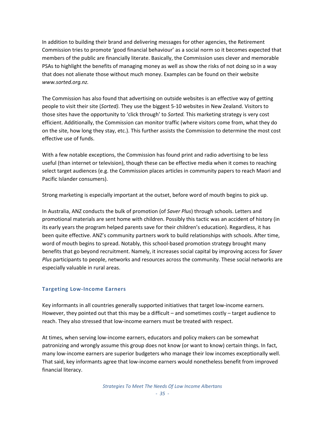In addition to building their brand and delivering messages for other agencies, the Retirement Commission tries to promote 'good financial behaviour' as a social norm so it becomes expected that members of the public are financially literate. Basically, the Commission uses clever and memorable PSAs to highlight the benefits of managing money as well as show the risks of not doing so in a way that does not alienate those without much money. Examples can be found on their website *www.sorted.org.nz.*

The Commission has also found that advertising on outside websites is an effective way of getting people to visit their site (*Sorted)*. They use the biggest 5‐10 websites in New Zealand. Visitors to those sites have the opportunity to 'click through' to *Sorted.* This marketing strategy is very cost efficient. Additionally, the Commission can monitor traffic (where visitors come from, what they do on the site, how long they stay, etc.). This further assists the Commission to determine the most cost effective use of funds.

With a few notable exceptions, the Commission has found print and radio advertising to be less useful (than internet or television), though these can be effective media when it comes to reaching select target audiences (e.g. the Commission places articles in community papers to reach Maori and Pacific Islander consumers).

Strong marketing is especially important at the outset, before word of mouth begins to pick up.

In Australia, ANZ conducts the bulk of promotion (of *Saver Plus*) through schools. Letters and promotional materials are sent home with children. Possibly this tactic was an accident of history (in its early years the program helped parents save for their children's education). Regardless, it has been quite effective. ANZ's community partners work to build relationships with schools. After time, word of mouth begins to spread. Notably, this school-based promotion strategy brought many benefits that go beyond recruitment. Namely, it increases social capital by improving access for *Saver Plus* participants to people, networks and resources across the community. These social networks are especially valuable in rural areas.

## **Targeting Low‐Income Earners**

Key informants in all countries generally supported initiatives that target low‐income earners. However, they pointed out that this may be a difficult – and sometimes costly – target audience to reach. They also stressed that low-income earners must be treated with respect.

At times, when serving low‐income earners, educators and policy makers can be somewhat patronizing and wrongly assume this group does not know (or want to know) certain things. In fact, many low-income earners are superior budgeters who manage their low incomes exceptionally well. That said, key informants agree that low‐income earners would nonetheless benefit from improved financial literacy.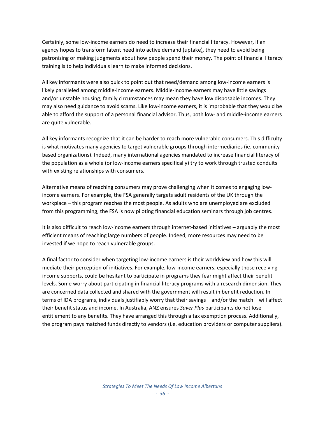Certainly, some low‐income earners do need to increase their financial literacy. However, if an agency hopes to transform latent need into active demand (uptake)*,* they need to avoid being patronizing or making judgments about how people spend their money. The point of financial literacy training is to help individuals learn to make informed decisions.

All key informants were also quick to point out that need/demand among low‐income earners is likely paralleled among middle‐income earners. Middle‐income earners may have little savings and/or unstable housing; family circumstances may mean they have low disposable incomes. They may also need guidance to avoid scams. Like low-income earners, it is improbable that they would be able to afford the support of a personal financial advisor. Thus, both low‐ and middle‐income earners are quite vulnerable.

All key informants recognize that it can be harder to reach more vulnerable consumers. This difficulty is what motivates many agencies to target vulnerable groups through intermediaries (ie. community‐ based organizations). Indeed, many international agencies mandated to increase financial literacy of the population as a whole (or low‐income earners specifically) try to work through trusted conduits with existing relationships with consumers.

Alternative means of reaching consumers may prove challenging when it comes to engaging low‐ income earners. For example, the FSA generally targets adult residents of the UK through the workplace – this program reaches the most people. As adults who are unemployed are excluded from this programming, the FSA is now piloting financial education seminars through job centres.

It is also difficult to reach low-income earners through internet-based initiatives – arguably the most efficient means of reaching large numbers of people. Indeed, more resources may need to be invested if we hope to reach vulnerable groups.

A final factor to consider when targeting low‐income earners is their worldview and how this will mediate their perception of initiatives. For example, low‐income earners, especially those receiving income supports, could be hesitant to participate in programs they fear might affect their benefit levels. Some worry about participating in financial literacy programs with a research dimension. They are concerned data collected and shared with the government will result in benefit reduction. In terms of IDA programs, individuals justifiably worry that their savings – and/or the match – will affect their benefit status and income. In Australia, ANZ ensures *Saver Plus* participants do not lose entitlement to any benefits. They have arranged this through a tax exemption process. Additionally, the program pays matched funds directly to vendors (i.e. education providers or computer suppliers).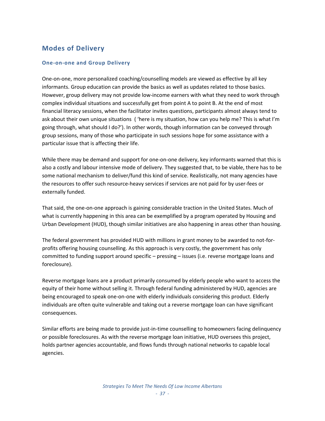# **Modes of Delivery**

## **One‐on‐one and Group Delivery**

One-on-one, more personalized coaching/counselling models are viewed as effective by all key informants. Group education can provide the basics as well as updates related to those basics. However, group delivery may not provide low‐income earners with what they need to work through complex individual situations and successfully get from point A to point B. At the end of most financial literacy sessions, when the facilitator invites questions, participants almost always tend to ask about their own unique situations ( 'here is my situation, how can you help me? This is what I'm going through, what should I do?'). In other words, though information can be conveyed through group sessions, many of those who participate in such sessions hope for some assistance with a particular issue that is affecting their life.

While there may be demand and support for one-on-one delivery, key informants warned that this is also a costly and labour intensive mode of delivery. They suggested that, to be viable, there has to be some national mechanism to deliver/fund this kind of service. Realistically, not many agencies have the resources to offer such resource‐heavy services if services are not paid for by user‐fees or externally funded.

That said, the one‐on‐one approach is gaining considerable traction in the United States. Much of what is currently happening in this area can be exemplified by a program operated by Housing and Urban Development (HUD), though similar initiatives are also happening in areas other than housing.

The federal government has provided HUD with millions in grant money to be awarded to not-forprofits offering housing counselling. As this approach is very costly, the government has only committed to funding support around specific – pressing – issues (i.e. reverse mortgage loans and foreclosure).

Reverse mortgage loans are a product primarily consumed by elderly people who want to access the equity of their home without selling it. Through federal funding administered by HUD, agencies are being encouraged to speak one‐on‐one with elderly individuals considering this product. Elderly individuals are often quite vulnerable and taking out a reverse mortgage loan can have significant consequences.

Similar efforts are being made to provide just‐in‐time counselling to homeowners facing delinquency or possible foreclosures. As with the reverse mortgage loan initiative, HUD oversees this project, holds partner agencies accountable, and flows funds through national networks to capable local agencies.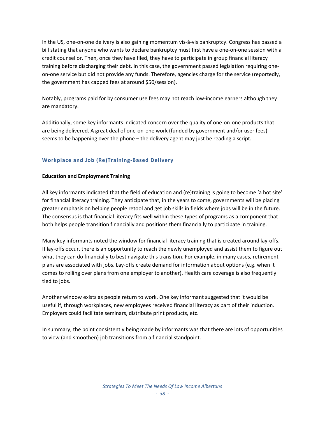In the US, one‐on‐one delivery is also gaining momentum vis‐à‐vis bankruptcy. Congress has passed a bill stating that anyone who wants to declare bankruptcy must first have a one‐on‐one session with a credit counsellor. Then, once they have filed, they have to participate in group financial literacy training before discharging their debt. In this case, the government passed legislation requiring one‐ on‐one service but did not provide any funds. Therefore, agencies charge for the service (reportedly, the government has capped fees at around \$50/session).

Notably, programs paid for by consumer use fees may not reach low‐income earners although they are mandatory.

Additionally, some key informants indicated concern over the quality of one‐on‐one products that are being delivered. A great deal of one‐on‐one work (funded by government and/or user fees) seems to be happening over the phone – the delivery agent may just be reading a script.

# **Workplace and Job (Re)Training‐Based Delivery**

#### **Education and Employment Training**

All key informants indicated that the field of education and (re)training is going to become 'a hot site' for financial literacy training. They anticipate that, in the years to come, governments will be placing greater emphasis on helping people retool and get job skills in fields where jobs will be in the future. The consensus is that financial literacy fits well within these types of programs as a component that both helps people transition financially and positions them financially to participate in training.

Many key informants noted the window for financial literacy training that is created around lay‐offs. If lay‐offs occur, there is an opportunity to reach the newly unemployed and assist them to figure out what they can do financially to best navigate this transition. For example, in many cases, retirement plans are associated with jobs. Lay‐offs create demand for information about options (e.g. when it comes to rolling over plans from one employer to another). Health care coverage is also frequently tied to jobs.

Another window exists as people return to work. One key informant suggested that it would be useful if, through workplaces, new employees received financial literacy as part of their induction. Employers could facilitate seminars, distribute print products, etc.

In summary, the point consistently being made by informants was that there are lots of opportunities to view (and smoothen) job transitions from a financial standpoint.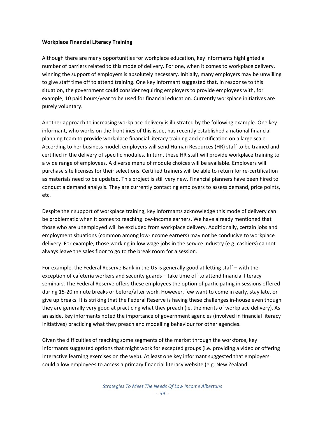#### **Workplace Financial Literacy Training**

Although there are many opportunities for workplace education, key informants highlighted a number of barriers related to this mode of delivery. For one, when it comes to workplace delivery, winning the support of employers is absolutely necessary. Initially, many employers may be unwilling to give staff time off to attend training. One key informant suggested that, in response to this situation, the government could consider requiring employers to provide employees with, for example, 10 paid hours/year to be used for financial education. Currently workplace initiatives are purely voluntary.

Another approach to increasing workplace‐delivery is illustrated by the following example. One key informant, who works on the frontlines of this issue, has recently established a national financial planning team to provide workplace financial literacy training and certification on a large scale. According to her business model, employers will send Human Resources (HR) staff to be trained and certified in the delivery of specific modules. In turn, these HR staff will provide workplace training to a wide range of employees. A diverse menu of module choices will be available. Employers will purchase site licenses for their selections. Certified trainers will be able to return for re‐certification as materials need to be updated. This project is still very new. Financial planners have been hired to conduct a demand analysis. They are currently contacting employers to assess demand, price points, etc.

Despite their support of workplace training, key informants acknowledge this mode of delivery can be problematic when it comes to reaching low-income earners. We have already mentioned that those who are unemployed will be excluded from workplace delivery. Additionally, certain jobs and employment situations (common among low‐income earners) may not be conducive to workplace delivery. For example, those working in low wage jobs in the service industry (e.g. cashiers) cannot always leave the sales floor to go to the break room for a session.

For example, the Federal Reserve Bank in the US is generally good at letting staff – with the exception of cafeteria workers and security guards – take time off to attend financial literacy seminars. The Federal Reserve offers these employees the option of participating in sessions offered during 15‐20 minute breaks or before/after work. However, few want to come in early, stay late, or give up breaks. It is striking that the Federal Reserve is having these challenges in‐house even though they are generally very good at practicing what they preach (ie. the merits of workplace delivery). As an aside, key informants noted the importance of government agencies (involved in financial literacy initiatives) practicing what they preach and modelling behaviour for other agencies.

Given the difficulties of reaching some segments of the market through the workforce, key informants suggested options that might work for excepted groups (i.e. providing a video or offering interactive learning exercises on the web). At least one key informant suggested that employers could allow employees to access a primary financial literacy website (e.g. New Zealand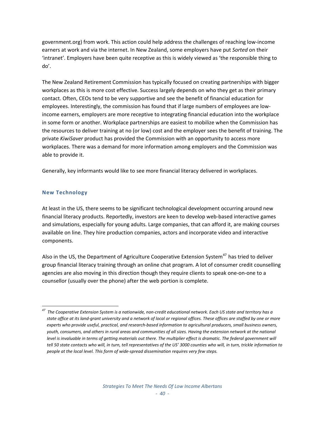government.org) from work. This action could help address the challenges of reaching low‐income earners at work and via the internet. In New Zealand, some employers have put *Sorted* on their 'intranet'. Employers have been quite receptive as this is widely viewed as 'the responsible thing to do'.

The New Zealand Retirement Commission has typically focused on creating partnerships with bigger workplaces as this is more cost effective. Success largely depends on who they get as their primary contact. Often, CEOs tend to be very supportive and see the benefit of financial education for employees. Interestingly, the commission has found that if large numbers of employees are low‐ income earners, employers are more receptive to integrating financial education into the workplace in some form or another. Workplace partnerships are easiest to mobilize when the Commission has the resources to deliver training at no (or low) cost and the employer sees the benefit of training. The private *KiwiSaver* product has provided the Commission with an opportunity to access more workplaces. There was a demand for more information among employers and the Commission was able to provide it.

Generally, key informants would like to see more financial literacy delivered in workplaces.

## **New Technology**

At least in the US, there seems to be significant technological development occurring around new financial literacy products. Reportedly, investors are keen to develop web-based interactive games and simulations, especially for young adults. Large companies, that can afford it, are making courses available on line. They hire production companies, actors and incorporate video and interactive components.

Also in the US, the Department of Agriculture Cooperative Extension System $47$  has tried to deliver group financial literacy training through an online chat program. A lot of consumer credit counselling agencies are also moving in this direction though they require clients to speak one-on-one to a counsellor (usually over the phone) after the web portion is complete.

<span id="page-41-0"></span>  $^{47}$  The Cooperative Extension System is a nationwide, non-credit educational network. Each US state and territory has a state office at its land-grant university and a network of local or regional offices. These offices are staffed by one or more experts who provide useful, practical, and research-based information to agricultural producers, small business owners, youth, consumers, and others in rural areas and communities of all sizes. Having the extension network at the national level is invaluable in terms of getting materials out there. The multiplier effect is dramatic. The federal government will tell 50 state contacts who will, in turn, tell representatives of the US' 3000 counties who will, in turn, trickle information to *people at the local level. This form of wide‐spread dissemination requires very few steps.*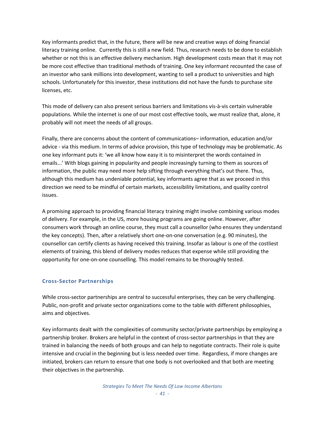Key informants predict that, in the future, there will be new and creative ways of doing financial literacy training online. Currently this is still a new field. Thus, research needs to be done to establish whether or not this is an effective delivery mechanism. High development costs mean that it may not be more cost effective than traditional methods of training. One key informant recounted the case of an investor who sank millions into development, wanting to sell a product to universities and high schools. Unfortunately for this investor, these institutions did not have the funds to purchase site licenses, etc.

This mode of delivery can also present serious barriers and limitations vis‐à‐vis certain vulnerable populations. While the internet is one of our most cost effective tools, we must realize that, alone, it probably will not meet the needs of all groups.

Finally, there are concerns about the content of communications– information, education and/or advice - via this medium. In terms of advice provision, this type of technology may be problematic. As one key informant puts it: 'we all know how easy it is to misinterpret the words contained in emails...' With blogs gaining in popularity and people increasingly turning to them as sources of information, the public may need more help sifting through everything that's out there. Thus, although this medium has undeniable potential, key informants agree that as we proceed in this direction we need to be mindful of certain markets, accessibility limitations, and quality control issues.

A promising approach to providing financial literacy training might involve combining various modes of delivery. For example, in the US, more housing programs are going online. However, after consumers work through an online course, they must call a counsellor (who ensures they understand the key concepts). Then, after a relatively short one‐on‐one conversation (e.g. 90 minutes), the counsellor can certify clients as having received this training. Insofar as labour is one of the costliest elements of training, this blend of delivery modes reduces that expense while still providing the opportunity for one‐on‐one counselling. This model remains to be thoroughly tested.

## **Cross‐Sector Partnerships**

While cross-sector partnerships are central to successful enterprises, they can be very challenging. Public, non‐profit and private sector organizations come to the table with different philosophies, aims and objectives.

Key informants dealt with the complexities of community sector/private partnerships by employing a partnership broker. Brokers are helpful in the context of cross-sector partnerships in that they are trained in balancing the needs of both groups and can help to negotiate contracts. Their role is quite intensive and crucial in the beginning but is less needed over time. Regardless, if more changes are initiated, brokers can return to ensure that one body is not overlooked and that both are meeting their objectives in the partnership.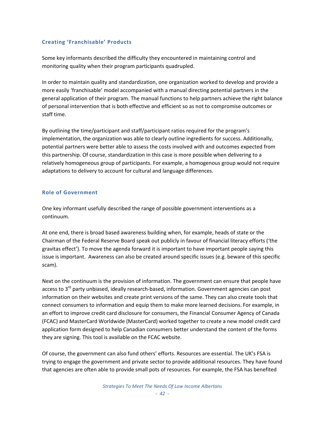## **Creating 'Franchisable' Products**

Some key informants described the difficulty they encountered in maintaining control and monitoring quality when their program participants quadrupled.

In order to maintain quality and standardization, one organization worked to develop and provide a more easily 'franchisable' model accompanied with a manual directing potential partners in the general application of their program. The manual functions to help partners achieve the right balance of personal intervention that is both effective and efficient so as not to compromise outcomes or staff time.

By outlining the time/participant and staff/participant ratios required for the program's implementation, the organization was able to clearly outline ingredients for success. Additionally, potential partners were better able to assess the costs involved with and outcomes expected from this partnership. Of course, standardization in this case is more possible when delivering to a relatively homogeneous group of participants. For example, a homogenous group would not require adaptations to delivery to account for cultural and language differences.

## **Role of Government**

One key informant usefully described the range of possible government interventions as a continuum.

At one end, there is broad based awareness building when, for example, heads of state or the Chairman of the Federal Reserve Board speak out publicly in favour of financial literacy efforts ('the gravitas effect'). To move the agenda forward it is important to have important people saying this issue is important. Awareness can also be created around specific issues (e.g. beware of this specific scam).

Next on the continuum is the provision of information. The government can ensure that people have access to 3<sup>rd</sup> party unbiased, ideally research-based, information. Government agencies can post information on their websites and create print versions of the same. They can also create tools that connect consumers to information and equip them to make more learned decisions. For example, in an effort to improve credit card disclosure for consumers, the Financial Consumer Agency of Canada (FCAC) and MasterCard Worldwide (MasterCard) worked together to create a new model credit card application form designed to help Canadian consumers better understand the content of the forms they are signing. This tool is available on the FCAC website.

Of course, the government can also fund others' efforts. Resources are essential. The UK's FSA is trying to engage the government and private sector to provide additional resources. They have found that agencies are often able to provide small pots of resources. For example, the FSA has benefited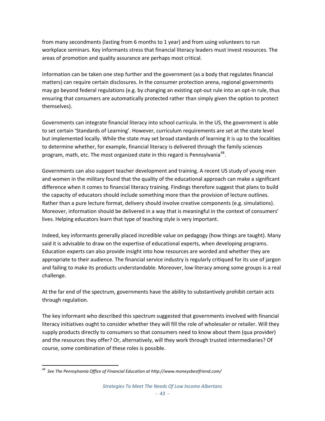from many secondments (lasting from 6 months to 1 year) and from using volunteers to run workplace seminars. Key informants stress that financial literacy leaders must invest resources. The areas of promotion and quality assurance are perhaps most critical.

Information can be taken one step further and the government (as a body that regulates financial matters) can require certain disclosures. In the consumer protection arena, regional governments may go beyond federal regulations (e.g. by changing an existing opt-out rule into an opt-in rule, thus ensuring that consumers are automatically protected rather than simply given the option to protect themselves).

Governments can integrate financial literacy into school curricula. In the US, the government is able to set certain 'Standards of Learning'. However, curriculum requirements are set at the state level but implemented locally. While the state may set broad standards of learning it is up to the localities to determine whether, for example, financial literacy is delivered through the family sciences program, math, etc. The most organized state in this regard is Pennsylvania<sup>[48](#page-44-0)</sup>.

Governments can also support teacher development and training. A recent US study of young men and women in the military found that the quality of the educational approach can make a significant difference when it comes to financial literacy training. Findings therefore suggest that plans to build the capacity of educators should include something more than the provision of lecture outlines. Rather than a pure lecture format, delivery should involve creative components (e.g. simulations). Moreover, information should be delivered in a way that is meaningful in the context of consumers' lives. Helping educators learn that type of teaching style is very important.

Indeed, key informants generally placed incredible value on pedagogy (how things are taught). Many said it is advisable to draw on the expertise of educational experts, when developing programs. Education experts can also provide insight into how resources are worded and whether they are appropriate to their audience. The financial service industry is regularly critiqued for its use of jargon and failing to make its products understandable. Moreover, low literacy among some groups is a real challenge.

At the far end of the spectrum, governments have the ability to substantively prohibit certain acts through regulation.

The key informant who described this spectrum suggested that governments involved with financial literacy initiatives ought to consider whether they will fill the role of wholesaler or retailer. Will they supply products directly to consumers so that consumers need to know about them (qua provider) and the resources they offer? Or, alternatively, will they work through trusted intermediaries? Of course, some combination of these roles is possible.

<span id="page-44-0"></span> *<sup>48</sup> See The Pennsylvania Office of Financial Education at http://www.moneysbestfriend.com/*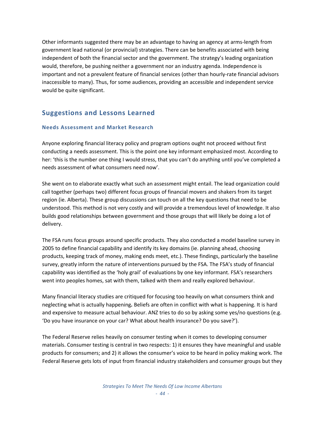Other informants suggested there may be an advantage to having an agency at arms‐length from government lead national (or provincial) strategies. There can be benefits associated with being independent of both the financial sector and the government. The strategy's leading organization would, therefore, be pushing neither a government nor an industry agenda. Independence is important and not a prevalent feature of financial services (other than hourly-rate financial advisors inaccessible to many). Thus, for some audiences, providing an accessible and independent service would be quite significant.

# **Suggestions and Lessons Learned**

## **Needs Assessment and Market Research**

Anyone exploring financial literacy policy and program options ought not proceed without first conducting a needs assessment. This is the point one key informant emphasized most. According to her: 'this is the number one thing I would stress, that you can't do anything until you've completed a needs assessment of what consumers need now'.

She went on to elaborate exactly what such an assessment might entail. The lead organization could call together (perhaps two) different focus groups of financial movers and shakers from its target region (ie. Alberta). These group discussions can touch on all the key questions that need to be understood. This method is not very costly and will provide a tremendous level of knowledge. It also builds good relationships between government and those groups that will likely be doing a lot of delivery.

The FSA runs focus groups around specific products. They also conducted a model baseline survey in 2005 to define financial capability and identify its key domains (ie. planning ahead, choosing products, keeping track of money, making ends meet, etc.). These findings, particularly the baseline survey, greatly inform the nature of interventions pursued by the FSA. The FSA's study of financial capability was identified as the 'holy grail' of evaluations by one key informant. FSA's researchers went into peoples homes, sat with them, talked with them and really explored behaviour.

Many financial literacy studies are critiqued for focusing too heavily on what consumers think and neglecting what is actually happening*.* Beliefs are often in conflict with what is happening. It is hard and expensive to measure actual behaviour. ANZ tries to do so by asking some yes/no questions (e.g. 'Do you have insurance on your car? What about health insurance? Do you save?').

The Federal Reserve relies heavily on consumer testing when it comes to developing consumer materials. Consumer testing is central in two respects: 1) it ensures they have meaningful and usable products for consumers; and 2) it allows the consumer's voice to be heard in policy making work. The Federal Reserve gets lots of input from financial industry stakeholders and consumer groups but they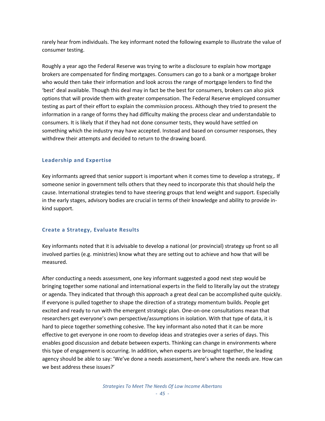rarely hear from individuals. The key informant noted the following example to illustrate the value of consumer testing.

Roughly a year ago the Federal Reserve was trying to write a disclosure to explain how mortgage brokers are compensated for finding mortgages. Consumers can go to a bank or a mortgage broker who would then take their information and look across the range of mortgage lenders to find the 'best' deal available. Though this deal may in fact be the best for consumers, brokers can also pick options that will provide them with greater compensation. The Federal Reserve employed consumer testing as part of their effort to explain the commission process. Although they tried to present the information in a range of forms they had difficulty making the process clear and understandable to consumers. It is likely that if they had not done consumer tests, they would have settled on something which the industry may have accepted. Instead and based on consumer responses, they withdrew their attempts and decided to return to the drawing board.

## **Leadership and Expertise**

Key informants agreed that senior support is important when it comes time to develop a strategy,. If someone senior in government tells others that they need to incorporate this that should help the cause. International strategies tend to have steering groups that lend weight and support. Especially in the early stages, advisory bodies are crucial in terms of their knowledge and ability to provide in‐ kind support.

## **Create a Strategy, Evaluate Results**

Key informants noted that it is advisable to develop a national (or provincial) strategy up front so all involved parties (e.g. ministries) know what they are setting out to achieve and how that will be measured.

After conducting a needs assessment, one key informant suggested a good next step would be bringing together some national and international experts in the field to literally lay out the strategy or agenda. They indicated that through this approach a great deal can be accomplished quite quickly. If everyone is pulled together to shape the direction of a strategy momentum builds. People get excited and ready to run with the emergent strategic plan. One‐on‐one consultations mean that researchers get everyone's own perspective/assumptions in isolation. With that type of data, it is hard to piece together something cohesive. The key informant also noted that it can be more effective to get everyone in one room to develop ideas and strategies over a series of days. This enables good discussion and debate between experts. Thinking can change in environments where this type of engagement is occurring. In addition, when experts are brought together, the leading agency should be able to say: 'We've done a needs assessment, here's where the needs are. How can we best address these issues?'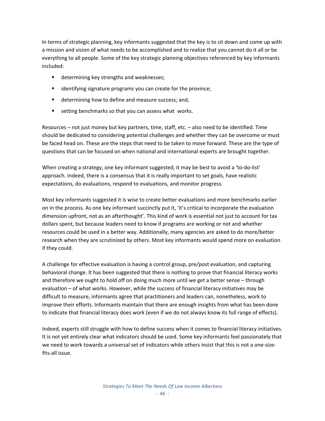In terms of strategic planning, key informants suggested that the key is to sit down and come up with a mission and vision of what needs to be accomplished and to realize that you cannot do it all or be everything to all people. Some of the key strategic planning objectives referenced by key informants included:

- **determining key strengths and weaknesses;**
- **If** identifying signature programs you can create for the province;
- **determining how to define and measure success; and,**
- setting benchmarks so that you can assess what works.

Resources – not just money but key partners, time, staff, etc. – also need to be identified. Time should be dedicated to considering potential challenges and whether they can be overcome or must be faced head on. These are the steps that need to be taken to move forward. These are the type of questions that can be focused on when national and international experts are brought together.

When creating a strategy, one key informant suggested, it may be best to avoid a 'to-do-list' approach. Indeed, there is a consensus that it is really important to set goals, have realistic expectations, do evaluations, respond to evaluations, and monitor progress.

Most key informants suggested it is wise to create better evaluations and more benchmarks earlier on in the process. As one key informant succinctly put it, 'it's critical to incorporate the evaluation dimension upfront, not as an afterthought'. This kind of work is essential not just to account for tax dollars spent, but because leaders need to know if programs are working or not and whether resources could be used in a better way. Additionally, many agencies are asked to do more/better research when they are scrutinized by others. Most key informants would spend more on evaluation if they could.

A challenge for effective evaluation is having a control group, pre/post evaluation, and capturing behavioral change. It has been suggested that there is nothing to prove that financial literacy works and therefore we ought to hold off on doing much more until we get a better sense – through evaluation – of what works. However, while the success of financial literacy initiatives may be difficult to measure, informants agree that practitioners and leaders can, nonetheless, work to improve their efforts. Informants maintain that there are enough insights from what has been done to indicate that financial literacy does work (even if we do not always know its full range of effects).

Indeed, experts still struggle with how to define success when it comes to financial literacy initiatives. It is not yet entirely clear what indicators should be used. Some key informants feel passionately that we need to work towards a universal set of indicators while others insist that this is not a one‐size‐ fits‐all issue.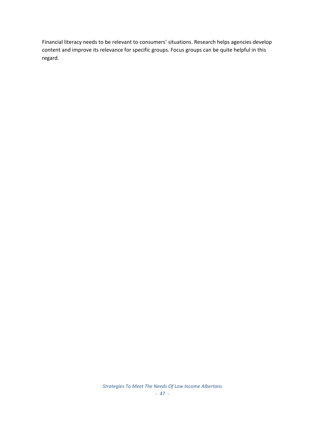Financial literacy needs to be relevant to consumers' situations. Research helps agencies develop content and improve its relevance for specific groups. Focus groups can be quite helpful in this regard.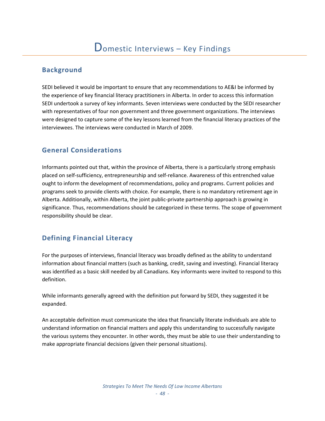# **Background**

SEDI believed it would be important to ensure that any recommendations to AE&I be informed by the experience of key financial literacy practitioners in Alberta. In order to access this information SEDI undertook a survey of key informants. Seven interviews were conducted by the SEDI researcher with representatives of four non government and three government organizations. The interviews were designed to capture some of the key lessons learned from the financial literacy practices of the interviewees. The interviews were conducted in March of 2009.

# **General Considerations**

Informants pointed out that, within the province of Alberta, there is a particularly strong emphasis placed on self‐sufficiency, entrepreneurship and self‐reliance. Awareness of this entrenched value ought to inform the development of recommendations, policy and programs. Current policies and programs seek to provide clients with choice. For example, there is no mandatory retirement age in Alberta. Additionally, within Alberta, the joint public‐private partnership approach is growing in significance. Thus, recommendations should be categorized in these terms. The scope of government responsibility should be clear.

# **Defining Financial Literacy**

For the purposes of interviews, financial literacy was broadly defined as the ability to understand information about financial matters (such as banking, credit, saving and investing). Financial literacy was identified as a basic skill needed by all Canadians. Key informants were invited to respond to this definition.

While informants generally agreed with the definition put forward by SEDI, they suggested it be expanded.

An acceptable definition must communicate the idea that financially literate individuals are able to understand information on financial matters and apply this understanding to successfully navigate the various systems they encounter. In other words, they must be able to use their understanding to make appropriate financial decisions (given their personal situations).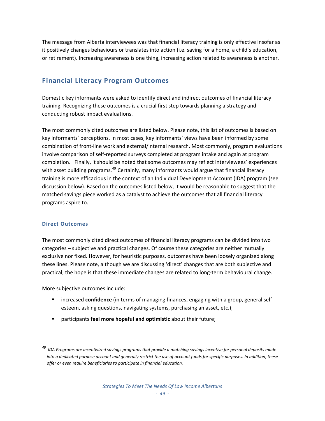The message from Alberta interviewees was that financial literacy training is only effective insofar as it positively changes behaviours or translates into action (i.e. saving for a home, a child's education, or retirement). Increasing awareness is one thing, increasing action related to awareness is another.

# **Financial Literacy Program Outcomes**

Domestic key informants were asked to identify direct and indirect outcomes of financial literacy training. Recognizing these outcomes is a crucial first step towards planning a strategy and conducting robust impact evaluations.

The most commonly cited outcomes are listed below. Please note, this list of outcomes is based on key informants' perceptions. In most cases, key informants' views have been informed by some combination of front-line work and external/internal research. Most commonly, program evaluations involve comparison of self‐reported surveys completed at program intake and again at program completion. Finally, it should be noted that some outcomes may reflect interviewees' experiences with asset building programs.<sup>[49](#page-50-0)</sup> Certainly, many informants would argue that financial literacy training is more efficacious in the context of an Individual Development Account (IDA) program (see discussion below). Based on the outcomes listed below, it would be reasonable to suggest that the matched savings piece worked as a catalyst to achieve the outcomes that all financial literacy programs aspire to.

# **Direct Outcomes**

The most commonly cited direct outcomes of financial literacy programs can be divided into two categories – subjective and practical changes. Of course these categories are neither mutually exclusive nor fixed. However, for heuristic purposes, outcomes have been loosely organized along these lines. Please note, although we are discussing 'direct' changes that are both subjective and practical, the hope is that these immediate changes are related to long‐term behavioural change.

More subjective outcomes include:

- increased **confidence** (in terms of managing finances, engaging with a group, general selfesteem, asking questions, navigating systems, purchasing an asset, etc.);
- participants **feel more hopeful and optimistic** about their future;

<span id="page-50-0"></span><sup>&</sup>lt;sup>49</sup> IDA Programs are incentivized savings programs that provide a matching savings incentive for personal deposits made into a dedicated purpose account and generally restrict the use of account funds for specific purposes. In addition, these *offer or even require beneficiaries to participate in financial education.*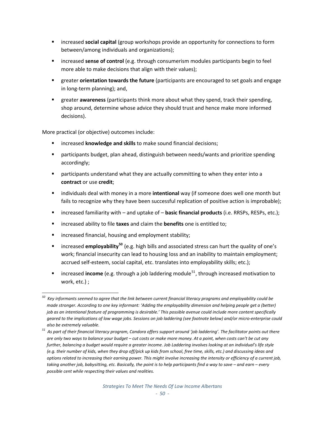- increased **social capital** (group workshops provide an opportunity for connections to form between/among individuals and organizations);
- increased **sense of control** (e.g. through consumerism modules participants begin to feel more able to make decisions that align with their values);
- greater **orientation towards the future** (participants are encouraged to set goals and engage in long‐term planning); and,
- greater **awareness** (participants think more about what they spend, track their spending, shop around, determine whose advice they should trust and hence make more informed decisions).

More practical (or objective) outcomes include:

- increased **knowledge and skills** to make sound financial decisions;
- participants budget, plan ahead, distinguish between needs/wants and prioritize spending accordingly;
- participants understand what they are actually committing to when they enter into a **contract** or use **credit**;
- individuals deal with money in a more **intentional** way (if someone does well one month but fails to recognize why they have been successful replication of positive action is improbable);
- increased familiarity with and uptake of **basic financial products** (i.e. RRSPs, RESPs, etc.);
- increased ability to file **taxes** and claim the **benefits** one is entitled to;
- **EXEDENT** increased financial, housing and employment stability;
- increased **employability[50](#page-51-0)** (e.g. high bills and associated stress can hurt the quality of one's work; financial insecurity can lead to housing loss and an inability to maintain employment; accrued self-esteem, social capital, etc. translates into employability skills; etc.);
- increased **income** (e.g. through a job laddering module<sup>[51](#page-51-1)</sup>, through increased motivation to work, etc.) ;

<span id="page-51-0"></span>  $^{\rm 50}$  Key informants seemed to agree that the link between current financial literacy programs and employability could be made stronger. According to one key informant: 'Adding the employability dimension and helping people get a (better) job as an intentional feature of programming is desirable.' This possible avenue could include more content specifically geared to the implications of low wage jobs. Sessions on job laddering (see footnote below) and/or micro-enterprise could *also be extremely valuable.* 

<span id="page-51-1"></span> $51$  As part of their financial literacy program, Candora offers support around 'job laddering'. The facilitator points out there are only two ways to balance your budget - cut costs or make more money. At a point, when costs can't be cut any further, balancing a budget would require a greater income. Job Laddering involves looking at an individual's life style (e.g. their number of kids, when they drop off/pick up kids from school, free time, skills, etc.) and discussing ideas and options related to increasing their earning power. This might involve increasing the intensity or efficiency of a current job, taking another job, babysitting, etc. Basically, the point is to help participants find a way to save - and earn - every *possible cent while respecting their values and realities.*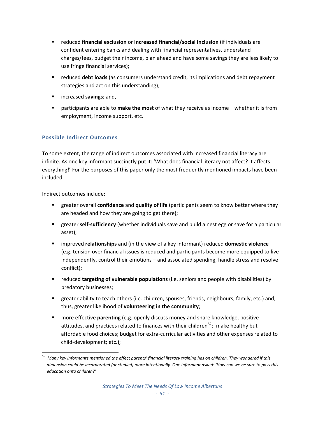- reduced **financial exclusion** or **increased financial/social inclusion** (if individuals are confident entering banks and dealing with financial representatives, understand charges/fees, budget their income, plan ahead and have some savings they are less likely to use fringe financial services);
- reduced **debt loads** (as consumers understand credit, its implications and debt repayment strategies and act on this understanding);
- increased **savings**; and,
- participants are able to **make the most** of what they receive as income whether it is from employment, income support, etc.

# **Possible Indirect Outcomes**

To some extent, the range of indirect outcomes associated with increased financial literacy are infinite. As one key informant succinctly put it: 'What does financial literacy not affect? It affects everything!**'** For the purposes of this paper only the most frequently mentioned impacts have been included.

Indirect outcomes include:

- greater overall **confidence** and **quality of life** (participants seem to know better where they are headed and how they are going to get there);
- greater **self-sufficiency** (whether individuals save and build a nest egg or save for a particular asset);
- improved **relationships** and (in the view of a key informant) reduced **domestic violence** (e.g. tension over financial issues is reduced and participants become more equipped to live independently, control their emotions – and associated spending, handle stress and resolve conflict);
- reduced **targeting of vulnerable populations** (i.e. seniors and people with disabilities) by predatory businesses;
- greater ability to teach others (i.e. children, spouses, friends, neighbours, family, etc.) and, thus, greater likelihood of **volunteering in the community**;
- more effective **parenting** (e.g. openly discuss money and share knowledge, positive attitudes, and practices related to finances with their children<sup>[52](#page-52-0)</sup>; make healthy but affordable food choices; budget for extra‐curricular activities and other expenses related to child‐development; etc.);

<span id="page-52-0"></span>Many key informants mentioned the effect parents' financial literacy training has on children. They wondered if this dimension could be incorporated (or studied) more intentionally. One informant asked: 'How can we be sure to pass this *education onto children?'*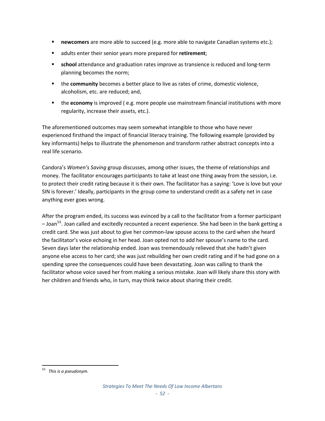- **newcomers** are more able to succeed (e.g. more able to navigate Canadian systems etc.);
- adults enter their senior years more prepared for **retirement**;
- school attendance and graduation rates improve as transience is reduced and long-term planning becomes the norm;
- the **community** becomes a better place to live as rates of crime, domestic violence, alcoholism, etc. are reduced; and,
- the **economy** is improved ( e.g. more people use mainstream financial institutions with more regularity, increase their assets, etc.).

The aforementioned outcomes may seem somewhat intangible to those who have never experienced firsthand the impact of financial literacy training. The following example (provided by key informants) helps to illustrate the phenomenon and transform rather abstract concepts into a real life scenario.

Candora's *Women's Saving* group discusses, among other issues, the theme of relationships and money. The facilitator encourages participants to take at least one thing away from the session, i.e. to protect their credit rating because it is their own. The facilitator has a saying: 'Love is love but your SIN is forever.' Ideally, participants in the group come to understand credit as a safety net in case anything ever goes wrong.

After the program ended, its success was evinced by a call to the facilitator from a former participant  $-$  Joan<sup>[53](#page-53-0)</sup>. Joan called and excitedly recounted a recent experience. She had been in the bank getting a credit card. She was just about to give her common‐law spouse access to the card when she heard the facilitator's voice echoing in her head. Joan opted not to add her spouse's name to the card. Seven days later the relationship ended. Joan was tremendously relieved that she hadn't given anyone else access to her card; she was just rebuilding her own credit rating and if he had gone on a spending spree the consequences could have been devastating. Joan was calling to thank the facilitator whose voice saved her from making a serious mistake. Joan will likely share this story with her children and friends who, in turn, may think twice about sharing their credit.

<span id="page-53-0"></span> *<sup>53</sup> This is a pseudonym.*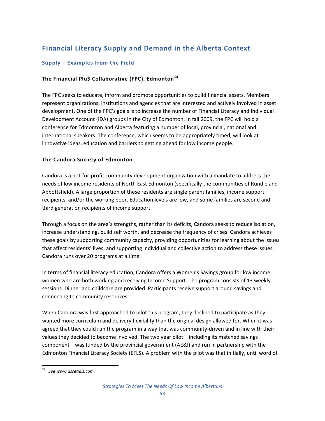# **Financial Literacy Supply and Demand in the Alberta Context**

# **Supply – Examples from the Field**

# **The Financial Plu\$ Collaborative (FPC), Edmonton[54](#page-54-0)**

The FPC seeks to educate, inform and promote opportunities to build financial assets. Members represent organizations, institutions and agencies that are interested and actively involved in asset development. One of the FPC's goals is to increase the number of Financial Literacy and Individual Development Account (IDA) groups in the City of Edmonton. In fall 2009, the FPC will hold a conference for Edmonton and Alberta featuring a number of local, provincial, national and international speakers. The conference, which seems to be appropriately timed, will look at innovative ideas, education and barriers to getting ahead for low income people.

# **The Candora Society of Edmonton**

Candora is a not‐for‐profit community development organization with a mandate to address the needs of low income residents of North East Edmonton (specifically the communities of Rundle and Abbottsfield). A large proportion of these residents are single parent families, income support recipients, and/or the working poor. Education levels are low, and some families are second and third generation recipients of income support.

Through a focus on the area's strengths, rather than its deficits, Candora seeks to reduce isolation, increase understanding, build self worth, and decrease the frequency of crises. Candora achieves these goals by supporting community capacity, providing opportunities for learning about the issues that affect residents' lives, and supporting individual and collective action to address these issues. Candora runs over 20 programs at a time.

In terms of financial literacy education, Candora offers a Women's Savings group for low income women who are both working and receiving Income Support. The program consists of 13 weekly sessions. Dinner and childcare are provided. Participants receive support around savings and connecting to community resources.

When Candora was first approached to pilot this program, they declined to participate as they wanted more curriculum and delivery flexibility than the original design allowed for. When it was agreed that they could run the program in a way that was community-driven and in line with their values they decided to become involved. The two year pilot – including its matched savings component – was funded by the provincial government (AE&I) and run in partnership with the Edmonton Financial Literacy Society (EFLS). A problem with the pilot was that initially, until word of

<span id="page-54-0"></span> *<sup>54</sup> See www.assetials.com.*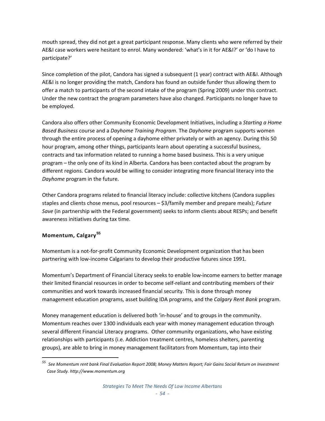mouth spread, they did not get a great participant response. Many clients who were referred by their AE&I case workers were hesitant to enrol. Many wondered: 'what's in it for AE&I?' or 'do I have to participate?'

Since completion of the pilot, Candora has signed a subsequent (1 year) contract with AE&I. Although AE&I is no longer providing the match, Candora has found an outside funder thus allowing them to offer a match to participants of the second intake of the program (Spring 2009) under this contract. Under the new contract the program parameters have also changed. Participants no longer have to be employed.

Candora also offers other Community Economic Development Initiatives, including a *Starting a Home Based Business* course and a *Dayhome Training Program*. The *Dayhome* program supports women through the entire process of opening a dayhome either privately or with an agency. During this 50 hour program, among other things, participants learn about operating a successful business, contracts and tax information related to running a home based business. This is a very unique program – the only one of its kind in Alberta. Candora has been contacted about the program by different regions. Candora would be willing to consider integrating more financial literacy into the *Dayhome* program in the future.

Other Candora programs related to financial literacy include: collective kitchens (Candora supplies staples and clients chose menus, pool resources – \$3/family member and prepare meals); *Future Save* (in partnership with the Federal government) seeks to inform clients about RESPs; and benefit awareness initiatives during tax time.

# **Momentum, Calgary[55](#page-55-0)**

Momentum is a not‐for‐profit Community Economic Development organization that has been partnering with low‐income Calgarians to develop their productive futures since 1991.

Momentum's Department of Financial Literacy seeks to enable low‐income earners to better manage their limited financial resources in order to become self-reliant and contributing members of their communities and work towards increased financial security. This is done through money management education programs, asset building IDA programs, and the *Calgary Rent Bank* program.

Money management education is delivered both 'in‐house' and to groups in the community. Momentum reaches over 1300 individuals each year with money management education through several different Financial Literacy programs. Other community organizations, who have existing relationships with participants (i.e. Addiction treatment centres, homeless shelters, parenting groups), are able to bring in money management facilitators from Momentum, tap into their

<span id="page-55-0"></span><sup>&</sup>lt;sup>55</sup> See Momentum rent bank Final Evaluation Report 2008; Money Matters Report; Fair Gains Social Return on Investment *Case Study. http://www.momentum.org*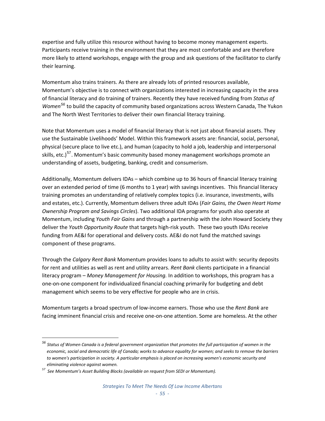expertise and fully utilize this resource without having to become money management experts. Participants receive training in the environment that they are most comfortable and are therefore more likely to attend workshops, engage with the group and ask questions of the facilitator to clarify their learning. 

Momentum also trains trainers. As there are already lots of printed resources available, Momentum's objective is to connect with organizations interested in increasing capacity in the area of financial literacy and do training of trainers. Recently they have received funding from *Status of Women[56](#page-56-0)* to build the capacity of community based organizations across Western Canada, The Yukon and The North West Territories to deliver their own financial literacy training.

Note that Momentum uses a model of financial literacy that is not just about financial assets. They use the Sustainable Livelihoods' Model. Within this framework assets are: financial, social, personal, physical (secure place to live etc.), and human (capacity to hold a job, leadership and interpersonal skills, etc.)<sup>[57](#page-56-1)</sup>. Momentum's basic community based money management workshops promote an understanding of assets, budgeting, banking, credit and consumerism.

Additionally, Momentum delivers IDAs – which combine up to 36 hours of financial literacy training over an extended period of time (6 months to 1 year) with savings incentives. This financial literacy training promotes an understanding of relatively complex topics (i.e. insurance, investments, wills and estates, etc.). Currently, Momentum delivers three adult IDAs (*Fair Gains, the Owen Heart Home Ownership Program and Savings Circles*). Two additional IDA programs for youth also operate at Momentum, including *Youth Fair Gains* and through a partnership with the John Howard Society they deliver the *Youth Opportunity Route* that targets high‐risk youth. These two youth IDAs receive funding from AE&I for operational and delivery costs. AE&I do not fund the matched savings component of these programs.

Through the *Calgary Rent Bank* Momentum provides loans to adults to assist with: security deposits for rent and utilities as well as rent and utility arrears. *Rent Bank* clients participate in a financial literacy program – *Money Management for Housing.* In addition to workshops, this program has a one‐on‐one component for individualized financial coaching primarily for budgeting and debt management which seems to be very effective for people who are in crisis.

Momentum targets a broad spectrum of low‐income earners. Those who use the *Rent Bank* are facing imminent financial crisis and receive one‐on‐one attention. Some are homeless. At the other

<span id="page-56-0"></span> $56$  Status of Women Canada is a federal government organization that promotes the full participation of women in the economic, social and democratic life of Canada; works to advance equality for women; and seeks to remove the barriers *to women's participation in society. A particular emphasis is placed on increasing women's economic security and eliminating violence against women.* 

<span id="page-56-1"></span>*<sup>57</sup> See Momentum's Asset Building Blocks (available on request from SEDI or Momentum).*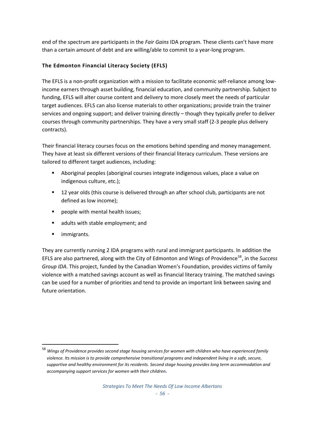end of the spectrum are participants in the *Fair Gains* IDA program. These clients can't have more than a certain amount of debt and are willing/able to commit to a year‐long program.

# **The Edmonton Financial Literacy Society (EFLS)**

The EFLS is a non-profit organization with a mission to facilitate economic self-reliance among lowincome earners through asset building, financial education, and community partnership. Subject to funding, EFLS will alter course content and delivery to more closely meet the needs of particular target audiences. EFLS can also license materials to other organizations; provide train the trainer services and ongoing support; and deliver training directly – though they typically prefer to deliver courses through community partnerships. They have a very small staff (2‐3 people plus delivery contracts).

Their financial literacy courses focus on the emotions behind spending and money management. They have at least six different versions of their financial literacy curriculum. These versions are tailored to different target audiences, including:

- Aboriginal peoples (aboriginal courses integrate indigenous values, place a value on indigenous culture, etc.);
- 12 year olds (this course is delivered through an after school club, participants are not defined as low income);
- **Part of the people with mental health issues;**
- **a** adults with stable employment; and
- **ulle** immigrants.

They are currently running 2 IDA programs with rural and immigrant participants. In addition the EFLS are also partnered, along with the City of Edmonton and Wings of Providence<sup>[58](#page-57-0)</sup>, in the *Success Group IDA*. This project, funded by the Canadian Women's Foundation, provides victims of family violence with a matched savings account as well as financial literacy training. The matched savings can be used for a number of priorities and tend to provide an important link between saving and future orientation.

<span id="page-57-0"></span> $^{58}$  Winas of Providence provides second stage housing services for women with children who have experienced family violence. Its mission is to provide comprehensive transitional programs and independent living in a safe, secure, *supportive and healthy environment for its residents. Second stage housing provides long term accommodation and accompanying support services for women with their children***.**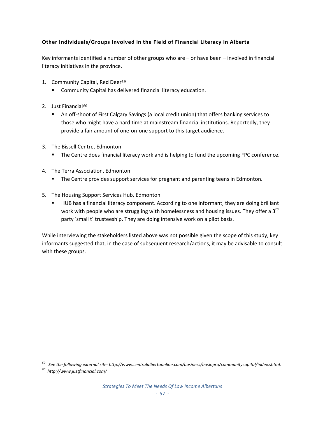# **Other Individuals/Groups Involved in the Field of Financial Literacy in Alberta**

Key informants identified a number of other groups who are – or have been – involved in financial literacy initiatives in the province.

- 1. Community Capital, Red Deer5[9](#page-58-0)
	- Community Capital has d[eli](#page-58-0)vered financial literacy education.
- 2. Just Financial<sup>60</sup>
	- An off-sh[oo](#page-58-1)t of First Calgary Savings (a local credit union) that offers banking services to those who might have a hard time at mainstream financial institutions. Reportedly, they provide a fair amount of one‐on‐one support to this target audience.
- 3. The Bissell Centre, Edmonton
	- The Centre does financial literacy work and is helping to fund the upcoming FPC conference.
- 4. The Terra Association, Edmonton
	- **The Centre provides support services for pregnant and parenting teens in Edmonton.**
- 5. The Housing Support Services Hub, Edmonton
	- HUB has a financial literacy component. According to one informant, they are doing brilliant work with people who are struggling with homelessness and housing issues. They offer a 3<sup>rd</sup> party 'small t' trusteeship. They are doing intensive work on a pilot basis.

While interviewing the stakeholders listed above was not possible given the scope of this study, key informants suggested that, in the case of subsequent research/actions, it may be advisable to consult with these groups.

<span id="page-58-0"></span>*<sup>59</sup> See the following external site: http://www.centralalbertaonline.com/business/businpro/communitycapital/index.shtml.*

<span id="page-58-1"></span>*<sup>60</sup> http://www.justfinancial.com/*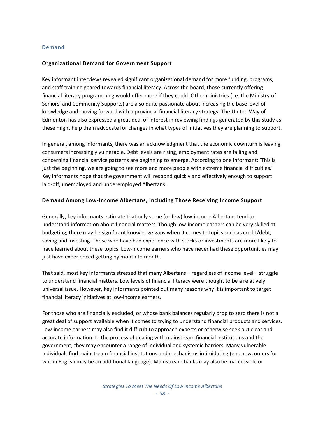#### **Demand**

#### **Organizational Demand for Government Support**

Key informant interviews revealed significant organizational demand for more funding, programs, and staff training geared towards financial literacy. Across the board, those currently offering financial literacy programming would offer more if they could. Other ministries (i.e. the Ministry of Seniors' and Community Supports) are also quite passionate about increasing the base level of knowledge and moving forward with a provincial financial literacy strategy. The United Way of Edmonton has also expressed a great deal of interest in reviewing findings generated by this study as these might help them advocate for changes in what types of initiatives they are planning to support.

In general, among informants, there was an acknowledgment that the economic downturn is leaving consumers increasingly vulnerable. Debt levels are rising, employment rates are falling and concerning financial service patterns are beginning to emerge. According to one informant: 'This is just the beginning, we are going to see more and more people with extreme financial difficulties.' Key informants hope that the government will respond quickly and effectively enough to support laid‐off, unemployed and underemployed Albertans.

#### **Demand Among Low‐Income Albertans, Including Those Receiving Income Support**

Generally, key informants estimate that only some (or few) low‐income Albertans tend to understand information about financial matters. Though low‐income earners can be very skilled at budgeting, there may be significant knowledge gaps when it comes to topics such as credit/debt, saving and investing. Those who have had experience with stocks or investments are more likely to have learned about these topics. Low-income earners who have never had these opportunities may just have experienced getting by month to month.

That said, most key informants stressed that many Albertans – regardless of income level – struggle to understand financial matters. Low levels of financial literacy were thought to be a relatively universal issue. However, key informants pointed out many reasons why it is important to target financial literacy initiatives at low-income earners.

For those who are financially excluded, or whose bank balances regularly drop to zero there is not a great deal of support available when it comes to trying to understand financial products and services. Low‐income earners may also find it difficult to approach experts or otherwise seek out clear and accurate information. In the process of dealing with mainstream financial institutions and the government, they may encounter a range of individual and systemic barriers. Many vulnerable individuals find mainstream financial institutions and mechanisms intimidating (e.g. newcomers for whom English may be an additional language). Mainstream banks may also be inaccessible or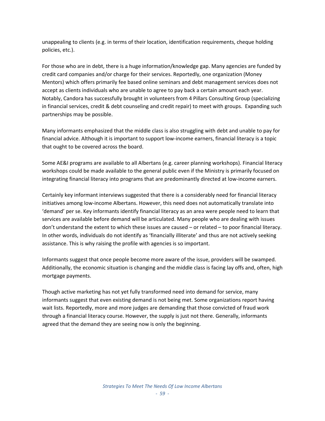unappealing to clients (e.g. in terms of their location, identification requirements, cheque holding policies, etc.).

For those who are in debt, there is a huge information/knowledge gap. Many agencies are funded by credit card companies and/or charge for their services. Reportedly, one organization (Money Mentors) which offers primarily fee based online seminars and debt management services does not accept as clients individuals who are unable to agree to pay back a certain amount each year. Notably, Candora has successfully brought in volunteers from 4 Pillars Consulting Group (specializing in financial services, credit & debt counseling and credit repair) to meet with groups. Expanding such partnerships may be possible.

Many informants emphasized that the middle class is also struggling with debt and unable to pay for financial advice. Although it is important to support low‐income earners, financial literacy is a topic that ought to be covered across the board.

Some AE&I programs are available to all Albertans (e.g. career planning workshops). Financial literacy workshops could be made available to the general public even if the Ministry is primarily focused on integrating financial literacy into programs that are predominantly directed at low‐income earners.

Certainly key informant interviews suggested that there is a considerably need for financial literacy initiatives among low‐income Albertans. However, this need does not automatically translate into 'demand' per se. Key informants identify financial literacy as an area were people need to learn that services are available before demand will be articulated. Many people who are dealing with issues don't understand the extent to which these issues are caused – or related – to poor financial literacy. In other words, individuals do not identify as 'financially illiterate' and thus are not actively seeking assistance. This is why raising the profile with agencies is so important.

Informants suggest that once people become more aware of the issue, providers will be swamped. Additionally, the economic situation is changing and the middle class is facing lay offs and, often, high mortgage payments.

Though active marketing has not yet fully transformed need into demand for service, many informants suggest that even existing demand is not being met. Some organizations report having wait lists. Reportedly, more and more judges are demanding that those convicted of fraud work through a financial literacy course. However, the supply is just not there. Generally, informants agreed that the demand they are seeing now is only the beginning.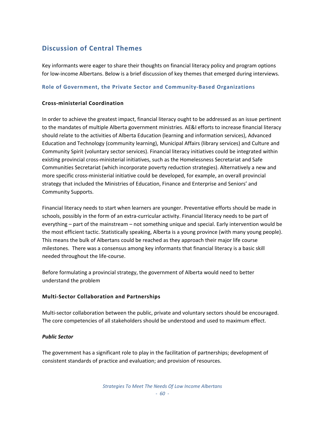# **Discussion of Central Themes**

Key informants were eager to share their thoughts on financial literacy policy and program options for low-income Albertans. Below is a brief discussion of key themes that emerged during interviews.

## **Role of Government, the Private Sector and Community‐Based Organizations**

#### **Cross‐ministerial Coordination**

In order to achieve the greatest impact, financial literacy ought to be addressed as an issue pertinent to the mandates of multiple Alberta government ministries. AE&I efforts to increase financial literacy should relate to the activities of Alberta Education (learning and information services), Advanced Education and Technology (community learning), Municipal Affairs (library services) and Culture and Community Spirit (voluntary sector services). Financial literacy initiatives could be integrated within existing provincial cross‐ministerial initiatives, such as the Homelessness Secretariat and Safe Communities Secretariat (which incorporate poverty reduction strategies). Alternatively a new and more specific cross‐ministerial initiative could be developed, for example, an overall provincial strategy that included the Ministries of Education, Finance and Enterprise and Seniors' and Community Supports.

Financial literacy needs to start when learners are younger. Preventative efforts should be made in schools, possibly in the form of an extra-curricular activity. Financial literacy needs to be part of everything – part of the mainstream – not something unique and special. Early intervention would be the most efficient tactic. Statistically speaking, Alberta is a young province (with many young people). This means the bulk of Albertans could be reached as they approach their major life course milestones. There was a consensus among key informants that financial literacy is a basic skill needed throughout the life‐course.

Before formulating a provincial strategy, the government of Alberta would need to better understand the problem

## **Multi‐Sector Collaboration and Partnerships**

Multi-sector collaboration between the public, private and voluntary sectors should be encouraged. The core competencies of all stakeholders should be understood and used to maximum effect.

#### *Public Sector*

The government has a significant role to play in the facilitation of partnerships; development of consistent standards of practice and evaluation; and provision of resources.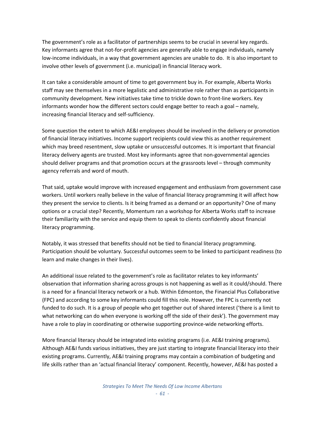The government's role as a facilitator of partnerships seems to be crucial in several key regards. Key informants agree that not‐for‐profit agencies are generally able to engage individuals, namely low-income individuals, in a way that government agencies are unable to do. It is also important to involve other levels of government (i.e. municipal) in financial literacy work.

It can take a considerable amount of time to get government buy in. For example, Alberta Works staff may see themselves in a more legalistic and administrative role rather than as participants in community development. New initiatives take time to trickle down to front‐line workers. Key informants wonder how the different sectors could engage better to reach a goal – namely, increasing financial literacy and self‐sufficiency.

Some question the extent to which AE&I employees should be involved in the delivery or promotion of financial literacy initiatives. Income support recipients could view this as another requirement which may breed resentment, slow uptake or unsuccessful outcomes. It is important that financial literacy delivery agents are trusted. Most key informants agree that non‐governmental agencies should deliver programs and that promotion occurs at the grassroots level – through community agency referrals and word of mouth.

That said, uptake would improve with increased engagement and enthusiasm from government case workers. Until workers really believe in the value of financial literacy programming it will affect how they present the service to clients. Is it being framed as a demand or an opportunity? One of many options or a crucial step? Recently, Momentum ran a workshop for Alberta Works staff to increase their familiarity with the service and equip them to speak to clients confidently about financial literacy programming.

Notably, it was stressed that benefits should not be tied to financial literacy programming. Participation should be voluntary. Successful outcomes seem to be linked to participant readiness (to learn and make changes in their lives).

An additional issue related to the government's role as facilitator relates to key informants' observation that information sharing across groups is not happening as well as it could/should. There is a need for a financial literacy network or a hub. Within Edmonton, the Financial Plus Collaborative (FPC) and according to some key informants could fill this role. However, the FPC is currently not funded to do such. It is a group of people who get together out of shared interest ('there is a limit to what networking can do when everyone is working off the side of their desk'). The government may have a role to play in coordinating or otherwise supporting province-wide networking efforts.

More financial literacy should be integrated into existing programs (i.e. AE&I training programs). Although AE&I funds various initiatives, they are just starting to integrate financial literacy into their existing programs. Currently, AE&I training programs may contain a combination of budgeting and life skills rather than an 'actual financial literacy' component. Recently, however, AE&I has posted a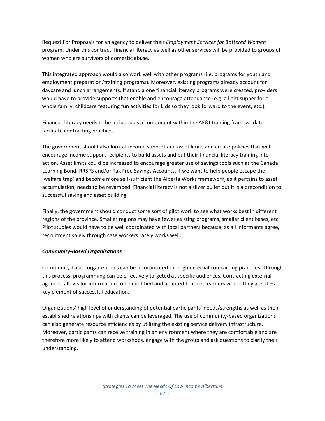Request For Proposals for an agency to deliver their *Employment Services for Battered Women* program. Under this contract, financial literacy as well as other services will be provided to groups of women who are survivors of domestic abuse.

This integrated approach would also work well with other programs (i.e. programs for youth and employment preparation/training programs). Moreover, existing programs already account for daycare and lunch arrangements. If stand alone financial literacy programs were created, providers would have to provide supports that enable and encourage attendance (e.g. a light supper for a whole family, childcare featuring fun activities for kids so they look forward to the event, etc.).

Financial literacy needs to be included as a component within the AE&I training framework to facilitate contracting practices.

The government should also look at income support and asset limits and create policies that will encourage income support recipients to build assets and put their financial literacy training into action. Asset limits could be increased to encourage greater use of savings tools such as the Canada Learning Bond, RRSPS and/or Tax Free Savings Accounts. If we want to help people escape the 'welfare trap' and become more self‐sufficient the Alberta Works framework, as it pertains to asset accumulation, needs to be revamped. Financial literacy is not a silver bullet but it is a precondition to successful saving and asset building.

Finally, the government should conduct some sort of pilot work to see what works best in different regions of the province. Smaller regions may have fewer existing programs, smaller client bases, etc. Pilot studies would have to be well coordinated with local partners because, as all informants agree, recruitment solely through case workers rarely works well.

## *Community‐Based Organizations*

Community‐based organizations can be incorporated through external contracting practices. Through this process, programming can be effectively targeted at specific audiences. Contracting external agencies allows for information to be modified and adapted to meet learners where they are at  $-a$ key element of successful education.

Organizations' high level of understanding of potential participants' needs/strengths as well as their established relationships with clients can be leveraged. The use of community-based organizations can also generate resource efficiencies by utilizing the existing service delivery infrastructure. Moreover, participants can receive training in an environment where they are comfortable and are therefore more likely to attend workshops, engage with the group and ask questions to clarify their understanding.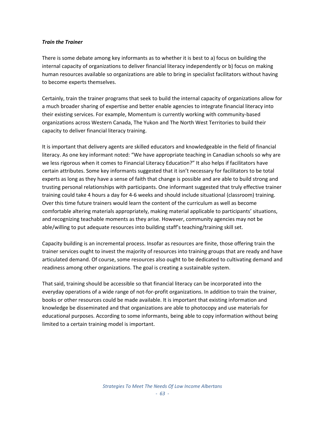#### *Train the Trainer*

There is some debate among key informants as to whether it is best to a) focus on building the internal capacity of organizations to deliver financial literacy independently or b) focus on making human resources available so organizations are able to bring in specialist facilitators without having to become experts themselves.

Certainly, train the trainer programs that seek to build the internal capacity of organizations allow for a much broader sharing of expertise and better enable agencies to integrate financial literacy into their existing services. For example, Momentum is currently working with community-based organizations across Western Canada, The Yukon and The North West Territories to build their capacity to deliver financial literacy training.

It is important that delivery agents are skilled educators and knowledgeable in the field of financial literacy. As one key informant noted: "We have appropriate teaching in Canadian schools so why are we less rigorous when it comes to Financial Literacy Education?" It also helps if facilitators have certain attributes. Some key informants suggested that it isn't necessary for facilitators to be total experts as long as they have a sense of faith that change is possible and are able to build strong and trusting personal relationships with participants. One informant suggested that truly effective trainer training could take 4 hours a day for 4‐6 weeks and should include situational (classroom) training. Over this time future trainers would learn the content of the curriculum as well as become comfortable altering materials appropriately, making material applicable to participants' situations, and recognizing teachable moments as they arise. However, community agencies may not be able/willing to put adequate resources into building staff's teaching/training skill set.

Capacity building is an incremental process. Insofar as resources are finite, those offering train the trainer services ought to invest the majority of resources into training groups that are ready and have articulated demand. Of course, some resources also ought to be dedicated to cultivating demand and readiness among other organizations. The goal is creating a sustainable system.

That said, training should be accessible so that financial literacy can be incorporated into the everyday operations of a wide range of not-for-profit organizations. In addition to train the trainer, books or other resources could be made available. It is important that existing information and knowledge be disseminated and that organizations are able to photocopy and use materials for educational purposes. According to some informants, being able to copy information without being limited to a certain training model is important.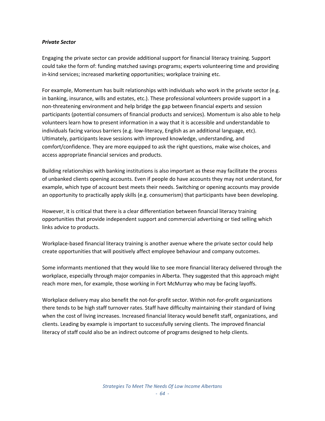#### *Private Sector*

Engaging the private sector can provide additional support for financial literacy training. Support could take the form of: funding matched savings programs; experts volunteering time and providing in-kind services; increased marketing opportunities; workplace training etc.

For example, Momentum has built relationships with individuals who work in the private sector (e.g. in banking, insurance, wills and estates, etc.). These professional volunteers provide support in a non‐threatening environment and help bridge the gap between financial experts and session participants (potential consumers of financial products and services). Momentum is also able to help volunteers learn how to present information in a way that it is accessible and understandable to individuals facing various barriers (e.g. low‐literacy, English as an additional language, etc). Ultimately, participants leave sessions with improved knowledge, understanding, and comfort/confidence. They are more equipped to ask the right questions, make wise choices, and access appropriate financial services and products.

Building relationships with banking institutions is also important as these may facilitate the process of unbanked clients opening accounts. Even if people do have accounts they may not understand, for example, which type of account best meets their needs. Switching or opening accounts may provide an opportunity to practically apply skills (e.g. consumerism) that participants have been developing.

However, it is critical that there is a clear differentiation between financial literacy training opportunities that provide independent support and commercial advertising or tied selling which links advice to products.

Workplace‐based financial literacy training is another avenue where the private sector could help create opportunities that will positively affect employee behaviour and company outcomes.

Some informants mentioned that they would like to see more financial literacy delivered through the workplace, especially through major companies in Alberta. They suggested that this approach might reach more men, for example, those working in Fort McMurray who may be facing layoffs.

Workplace delivery may also benefit the not-for-profit sector. Within not-for-profit organizations there tends to be high staff turnover rates. Staff have difficulty maintaining their standard of living when the cost of living increases. Increased financial literacy would benefit staff, organizations, and clients. Leading by example is important to successfully serving clients. The improved financial literacy of staff could also be an indirect outcome of programs designed to help clients.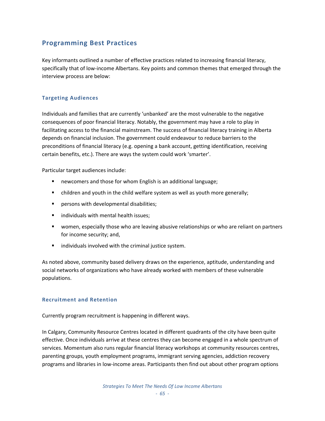# **Programming Best Practices**

Key informants outlined a number of effective practices related to increasing financial literacy, specifically that of low-income Albertans. Key points and common themes that emerged through the interview process are below:

# **Targeting Audiences**

Individuals and families that are currently 'unbanked' are the most vulnerable to the negative consequences of poor financial literacy. Notably, the government may have a role to play in facilitating access to the financial mainstream. The success of financial literacy training in Alberta depends on financial inclusion. The government could endeavour to reduce barriers to the preconditions of financial literacy (e.g. opening a bank account, getting identification, receiving certain benefits, etc.). There are ways the system could work 'smarter'.

Particular target audiences include:

- **newcomers and those for whom English is an additional language;**
- children and youth in the child welfare system as well as youth more generally;
- **Part of the Vietna** persons with developmental disabilities;
- individuals with mental health issues;
- women, especially those who are leaving abusive relationships or who are reliant on partners for income security; and,
- individuals involved with the criminal justice system.

As noted above, community based delivery draws on the experience, aptitude, understanding and social networks of organizations who have already worked with members of these vulnerable populations.

## **Recruitment and Retention**

Currently program recruitment is happening in different ways.

In Calgary, Community Resource Centres located in different quadrants of the city have been quite effective. Once individuals arrive at these centres they can become engaged in a whole spectrum of services. Momentum also runs regular financial literacy workshops at community resources centres, parenting groups, youth employment programs, immigrant serving agencies, addiction recovery programs and libraries in low‐income areas. Participants then find out about other program options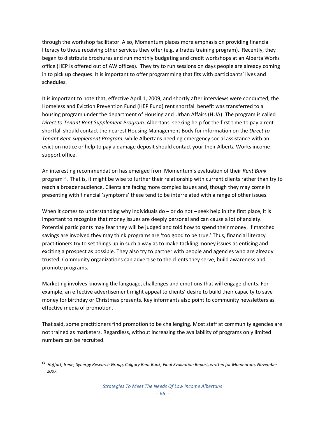through the workshop facilitator. Also, Momentum places more emphasis on providing financial literacy to those receiving other services they offer (e.g. a trades training program). Recently, they began to distribute brochures and run monthly budgeting and credit workshops at an Alberta Works office (HEP is offered out of AW offices). They try to run sessions on days people are already coming in to pick up cheques. It is important to offer programming that fits with participants' lives and schedules.

It is important to note that, effective April 1, 2009, and shortly after interviews were conducted, the Homeless and Eviction Prevention Fund (HEP Fund) rent shortfall benefit was transferred to a housing program under the department of Housing and Urban Affairs (HUA). The program is called *Direct to Tenant Rent Supplement Program*. Albertans seeking help for the first time to pay a rent shortfall should contact the nearest Housing [Management](http://www.housing.alberta.ca/Homeless%20and%20Eviction%20Prevention%20Fund.cfm) Body for information on the *Direct to Tenant Rent Supplement Program*, while Albertans needing emergency social assistance with an [eviction](http://employment.alberta.ca/documents/RRM/RRM-PUB_fs_emergency_needs_allowance.pdf) notice or help to pay a [damage](http://employment.alberta.ca/documents/RRM/RRM-PUB_fs_emergency_needs_allowance.pdf) deposit should contact your their Alberta Works income support office.

An inter[est](#page-67-0)ing recommendation has emerged from Momentum's evaluation of their *Rent Bank* program<sup>61</sup>. That is, it might be wise to further their relationship with current clients rather than try to reach a broader audience. Clients are facing more complex issues and, though they may come in presenting with financial 'symptoms' these tend to be interrelated with a range of other issues.

When it comes to understanding why individuals do  $-$  or do not  $-$  seek help in the first place, it is important to recognize that money issues are deeply personal and can cause a lot of anxiety. Potential participants may fear they will be judged and told how to spend their money. If matched savings are involved they may think programs are 'too good to be true.' Thus, financial literacy practitioners try to set things up in such a way as to make tackling money issues as enticing and exciting a prospect as possible. They also try to partner with people and agencies who are already trusted. Community organizations can advertise to the clients they serve, build awareness and promote programs.

Marketing involves knowing the language, challenges and emotions that will engage clients. For example, an effective advertisement might appeal to clients' desire to build their capacity to save money for birthday or Christmas presents. Key informants also point to community newsletters as effective media of promotion.

That said, some practitioners find promotion to be challenging. Most staff at community agencies are not trained as marketers. Regardless, without increasing the availability of programs only limited numbers can be recruited.

<span id="page-67-0"></span>  $61$  Hoffart, Irene, Synergy Research Group, Calgary Rent Bank, Final Evaluation Report, written for Momentum, November *2007.*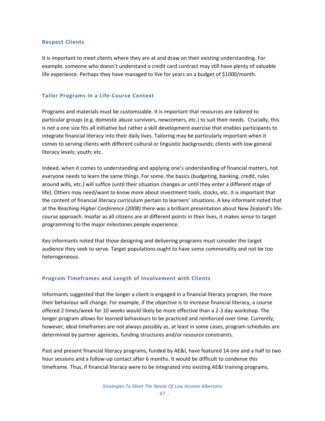#### **Respect Clients**

It is important to meet clients where they are at and draw on their existing understanding. For example, someone who doesn't understand a credit card contract may still have plenty of valuable life experience. Perhaps they have managed to live for years on a budget of \$1000/month.

#### **Tailor Programs in a Life‐Course Context**

Programs and materials must be customizable. It is important that resources are tailored to particular groups (e.g. domestic abuse survivors, newcomers, etc.) to suit their needs. Crucially, this is not a one size fits all initiative but rather a skill development exercise that enables participants to integrate financial literacy into their daily lives. Tailoring may be particularly important when it comes to serving clients with different cultural or linguistic backgrounds; clients with low general literacy levels; youth; etc.

Indeed, when it comes to understanding and applying one's understanding of financial matters, not everyone needs to learn the same things. For some, the basics (budgeting, banking, credit, rules around wills, etc.) will suffice (until their situation changes or until they enter a different stage of life). Others may need/want to know more about investment tools, stocks, etc. It is important that the content of financial literacy curriculum pertain to learners' situations. A key informant noted that at the *Reaching Higher Conference (2008)* there was a brilliant presentation about New Zealand's life‐ course approach. Insofar as all citizens are at different points in their lives, it makes sense to target programming to the major milestones people experience.

Key informants noted that those designing and delivering programs must consider the target audience they seek to serve. Target populations ought to have some commonality and not be too heterogeneous.

## **Program Timeframes and Length of Involvement with Clients**

Informants suggested that the longer a client is engaged in a financial literacy program, the more their behaviour will change. For example, if the objective is to increase financial literacy, a course offered 2 times/week for 10 weeks would likely be more effective than a 2‐3 day workshop. The longer program allows for learned behaviours to be practiced and reinforced over time. Currently, however, ideal timeframes are not always possibly as, at least in some cases, program schedules are determined by partner agencies, funding structures and/or resource constraints.

Past and present financial literacy programs, funded by AE&I, have featured 14 one and a half to two hour sessions and a follow-up contact after 6 months. It would be difficult to condense this timeframe. Thus, if financial literacy were to be integrated into existing AE&I training programs,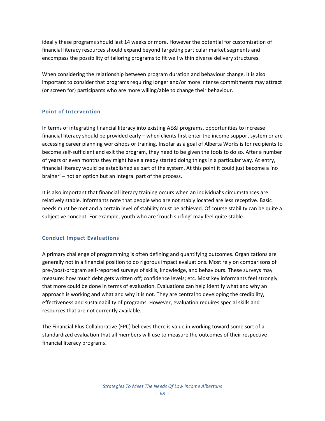ideally these programs should last 14 weeks or more. However the potential for customization of financial literacy resources should expand beyond targeting particular market segments and encompass the possibility of tailoring programs to fit well within diverse delivery structures.

When considering the relationship between program duration and behaviour change, it is also important to consider that programs requiring longer and/or more intense commitments may attract (or screen for) participants who are more willing/able to change their behaviour.

## **Point of Intervention**

In terms of integrating financial literacy into existing AE&I programs, opportunities to increase financial literacy should be provided early – when clients first enter the income support system or are accessing career planning workshops or training. Insofar as a goal of Alberta Works is for recipients to become self‐sufficient and exit the program, they need to be given the tools to do so. After a number of years or even months they might have already started doing things in a particular way. At entry, financial literacy would be established as part of the system. At this point it could just become a 'no brainer' – not an option but an integral part of the process.

It is also important that financial literacy training occurs when an individual's circumstances are relatively stable. Informants note that people who are not stably located are less receptive. Basic needs must be met and a certain level of stability must be achieved. Of course stability can be quite a subjective concept. For example, youth who are 'couch surfing' may feel quite stable.

# **Conduct Impact Evaluations**

A primary challenge of programming is often defining and quantifying outcomes. Organizations are generally not in a financial position to do rigorous impact evaluations. Most rely on comparisons of pre‐/post‐program self‐reported surveys of skills, knowledge, and behaviours. These surveys may measure: how much debt gets written off; confidence levels; etc. Most key informants feel strongly that more could be done in terms of evaluation. Evaluations can help identify what and why an approach is working and what and why it is not. They are central to developing the credibility, effectiveness and sustainability of programs. However, evaluation requires special skills and resources that are not currently available.

The Financial Plus Collaborative (FPC) believes there is value in working toward some sort of a standardized evaluation that all members will use to measure the outcomes of their respective financial literacy programs.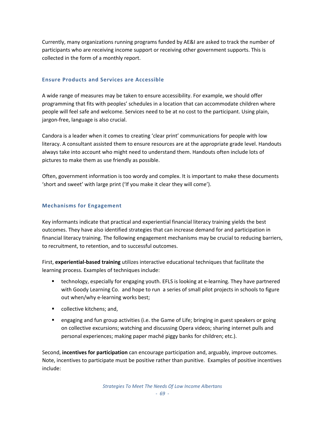Currently, many organizations running programs funded by AE&I are asked to track the number of participants who are receiving income support or receiving other government supports. This is collected in the form of a monthly report.

## **Ensure Products and Services are Accessible**

A wide range of measures may be taken to ensure accessibility. For example, we should offer programming that fits with peoples' schedules in a location that can accommodate children where people will feel safe and welcome. Services need to be at no cost to the participant. Using plain, jargon‐free, language is also crucial.

Candora is a leader when it comes to creating 'clear print' communications for people with low literacy. A consultant assisted them to ensure resources are at the appropriate grade level. Handouts always take into account who might need to understand them. Handouts often include lots of pictures to make them as use friendly as possible.

Often, government information is too wordy and complex. It is important to make these documents 'short and sweet' with large print ('If you make it clear they will come').

## **Mechanisms for Engagement**

Key informants indicate that practical and experiential financial literacy training yields the best outcomes. They have also identified strategies that can increase demand for and participation in financial literacy training. The following engagement mechanisms may be crucial to reducing barriers, to recruitment, to retention, and to successful outcomes.

First, **experiential‐based training** utilizes interactive educational techniques that facilitate the learning process. Examples of techniques include:

- technology, especially for engaging youth. EFLS is looking at e-learning. They have partnered with Goody Learning Co. and hope to run a series of small pilot projects in schools to figure out when/why e‐learning works best;
- **•** collective kitchens; and,
- engaging and fun group activities (i.e. the Game of Life; bringing in guest speakers or going on collective excursions; watching and discussing Opera videos; sharing internet pulls and personal experiences; making paper maché piggy banks for children; etc.).

Second, **incentives for participation** can encourage participation and, arguably, improve outcomes. Note, incentives to participate must be positive rather than punitive. Examples of positive incentives include: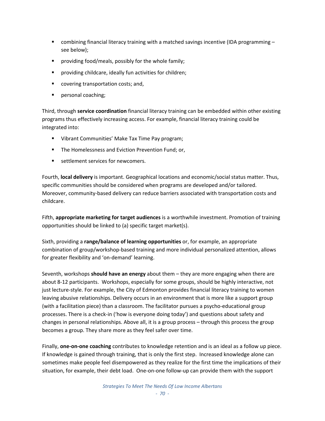- combining financial literacy training with a matched savings incentive (IDA programming see below);
- providing food/meals, possibly for the whole family;
- providing childcare, ideally fun activities for children;
- covering transportation costs; and,
- personal coaching;

Third, through **service coordination** financial literacy training can be embedded within other existing programs thus effectively increasing access. For example, financial literacy training could be integrated into:

- Vibrant Communities' Make Tax Time Pay program;
- The Homelessness and Eviction Prevention Fund; or,
- **EXECUTE:** settlement services for newcomers.

Fourth, **local delivery** is important. Geographical locations and economic/social status matter. Thus, specific communities should be considered when programs are developed and/or tailored. Moreover, community-based delivery can reduce barriers associated with transportation costs and childcare.

Fifth, **appropriate marketing for target audiences** is a worthwhile investment. Promotion of training opportunities should be linked to (a) specific target market(s).

Sixth, providing a **range/balance of learning opportunities** or, for example, an appropriate combination of group/workshop‐based training and more individual personalized attention, allows for greater flexibility and 'on‐demand' learning.

Seventh, workshops **should have an energy** about them – they are more engaging when there are about 8‐12 participants. Workshops, especially for some groups, should be highly interactive, not just lecture-style. For example, the City of Edmonton provides financial literacy training to women leaving abusive relationships. Delivery occurs in an environment that is more like a support group (with a facilitation piece) than a classroom. The facilitator pursues a psycho‐educational group processes. There is a check‐in ('how is everyone doing today') and questions about safety and changes in personal relationships. Above all, it is a group process – through this process the group becomes a group. They share more as they feel safer over time.

Finally, **one‐on‐one coaching** contributes to knowledge retention and is an ideal as a follow up piece. If knowledge is gained through training, that is only the first step. Increased knowledge alone can sometimes make people feel disempowered as they realize for the first time the implications of their situation, for example, their debt load. One‐on‐one follow‐up can provide them with the support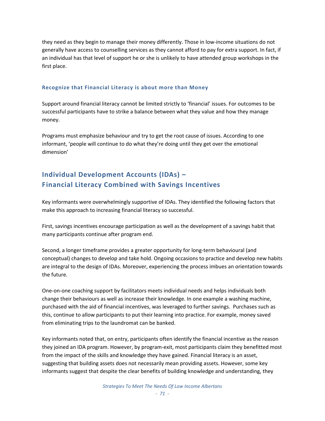they need as they begin to manage their money differently. Those in low‐income situations do not generally have access to counselling services as they cannot afford to pay for extra support. In fact, if an individual has that level of support he or she is unlikely to have attended group workshops in the first place.

## **Recognize that Financial Literacy is about more than Money**

Support around financial literacy cannot be limited strictly to 'financial' issues. For outcomes to be successful participants have to strike a balance between what they value and how they manage money.

Programs must emphasize behaviour and try to get the root cause of issues. According to one informant, 'people will continue to do what they're doing until they get over the emotional dimension'

## **Individual Development Accounts (IDAs) – Financial Literacy Combined with Savings Incentives**

Key informants were overwhelmingly supportive of IDAs. They identified the following factors that make this approach to increasing financial literacy so successful.

First, savings incentives encourage participation as well as the development of a savings habit that many participants continue after program end.

Second, a longer timeframe provides a greater opportunity for long-term behavioural (and conceptual) changes to develop and take hold. Ongoing occasions to practice and develop new habits are integral to the design of IDAs. Moreover, experiencing the process imbues an orientation towards the future.

One‐on‐one coaching support by facilitators meets individual needs and helps individuals both change their behaviours as well as increase their knowledge. In one example a washing machine, purchased with the aid of financial incentives, was leveraged to further savings. Purchases such as this, continue to allow participants to put their learning into practice. For example, money saved from eliminating trips to the laundromat can be banked.

Key informants noted that, on entry, participants often identify the financial incentive as the reason they joined an IDA program. However, by program‐exit, most participants claim they benefitted most from the impact of the skills and knowledge they have gained. Financial literacy is an asset, suggesting that building assets does not necessarily mean providing assets. However, some key informants suggest that despite the clear benefits of building knowledge and understanding, they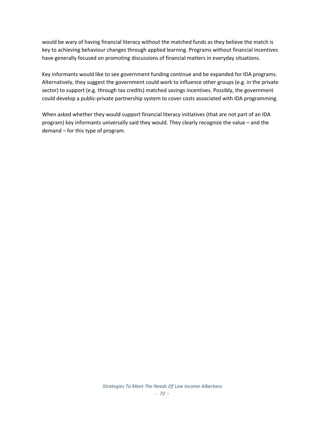would be wary of having financial literacy without the matched funds as they believe the match is key to achieving behaviour changes through applied learning. Programs without financial incentives have generally focused on promoting discussions of financial matters in everyday situations.

Key informants would like to see government funding continue and be expanded for IDA programs. Alternatively, they suggest the government could work to influence other groups (e.g. in the private sector) to support (e.g. through tax credits) matched savings incentives. Possibly, the government could develop a public‐private partnership system to cover costs associated with IDA programming.

When asked whether they would support financial literacy initiatives (that are not part of an IDA program) key informants universally said they would. They clearly recognize the value – and the demand – for this type of program.